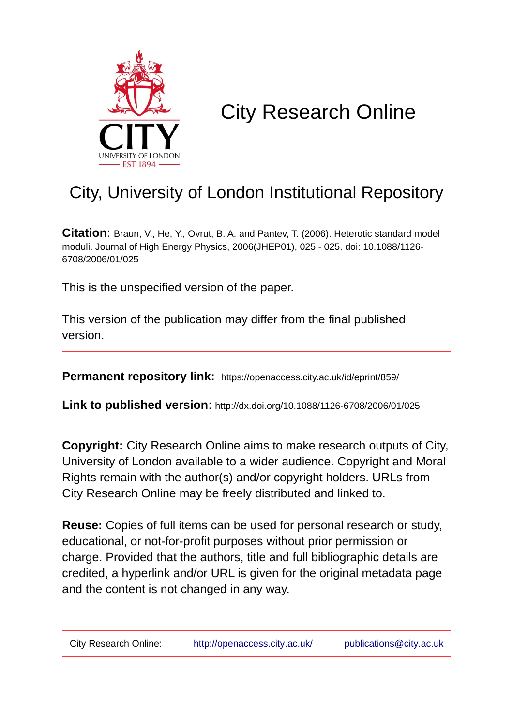

# City Research Online

# City, University of London Institutional Repository

**Citation**: Braun, V., He, Y., Ovrut, B. A. and Pantev, T. (2006). Heterotic standard model moduli. Journal of High Energy Physics, 2006(JHEP01), 025 - 025. doi: 10.1088/1126- 6708/2006/01/025

This is the unspecified version of the paper.

This version of the publication may differ from the final published version.

**Permanent repository link:** https://openaccess.city.ac.uk/id/eprint/859/

**Link to published version**: http://dx.doi.org/10.1088/1126-6708/2006/01/025

**Copyright:** City Research Online aims to make research outputs of City, University of London available to a wider audience. Copyright and Moral Rights remain with the author(s) and/or copyright holders. URLs from City Research Online may be freely distributed and linked to.

**Reuse:** Copies of full items can be used for personal research or study, educational, or not-for-profit purposes without prior permission or charge. Provided that the authors, title and full bibliographic details are credited, a hyperlink and/or URL is given for the original metadata page and the content is not changed in any way.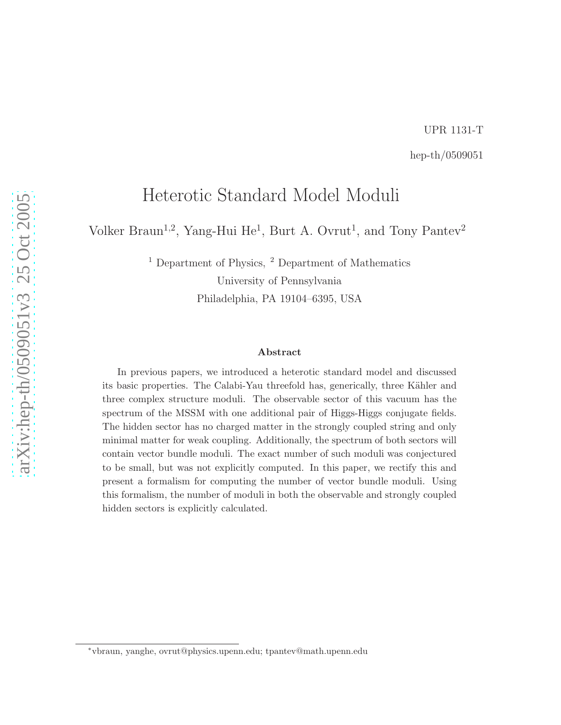# UPR 1131-T hep-th/0509051

# Heterotic Standard Model Moduli

Volker Braun<sup>1,2</sup>, Yang-Hui He<sup>1</sup>, Burt A. Ovrut<sup>1</sup>, and Tony Pantev<sup>2</sup>

<sup>1</sup> Department of Physics, <sup>2</sup> Department of Mathematics University of Pennsylvania Philadelphia, PA 19104–6395, USA

#### Abstract

In previous papers, we introduced a heterotic standard model and discussed its basic properties. The Calabi-Yau threefold has, generically, three Kähler and three complex structure moduli. The observable sector of this vacuum has the spectrum of the MSSM with one additional pair of Higgs-Higgs conjugate fields. The hidden sector has no charged matter in the strongly coupled string and only minimal matter for weak coupling. Additionally, the spectrum of both sectors will contain vector bundle moduli. The exact number of such moduli was conjectured to be small, but was not explicitly computed. In this paper, we rectify this and present a formalism for computing the number of vector bundle moduli. Using this formalism, the number of moduli in both the observable and strongly coupled hidden sectors is explicitly calculated.

<sup>∗</sup>vbraun, yanghe, ovrut@physics.upenn.edu; tpantev@math.upenn.edu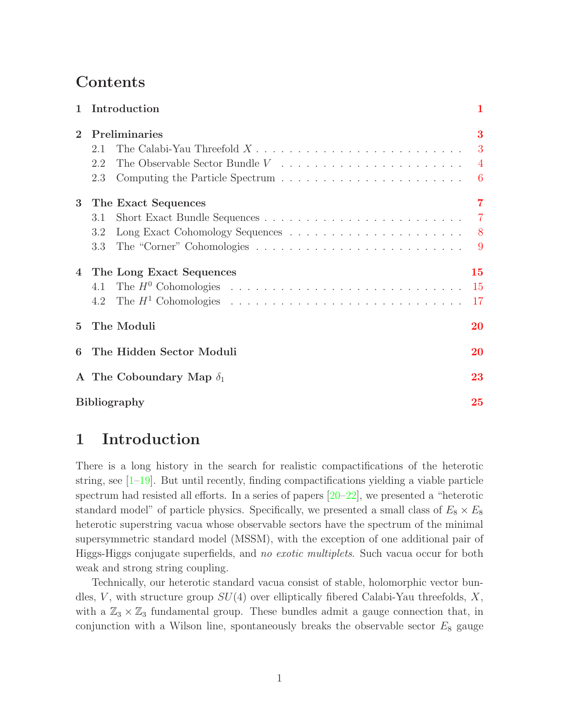# Contents

|                | 1 Introduction                           | 1                     |  |  |  |  |
|----------------|------------------------------------------|-----------------------|--|--|--|--|
| $\overline{2}$ | Preliminaries<br>2.1<br>2.2<br>2.3       | 3<br>$-6$             |  |  |  |  |
| 3              | The Exact Sequences<br>3.1<br>3.2<br>3.3 | $\overline{7}$        |  |  |  |  |
| $\overline{4}$ | The Long Exact Sequences<br>4.1          | 15<br><b>15</b><br>17 |  |  |  |  |
| $\mathbf{5}$   | The Moduli                               | 20                    |  |  |  |  |
| 6              | The Hidden Sector Moduli                 | 20                    |  |  |  |  |
|                | A The Coboundary Map $\delta_1$          | 23                    |  |  |  |  |
|                | <b>Bibliography</b>                      |                       |  |  |  |  |

# <span id="page-2-0"></span>1 Introduction

There is a long history in the search for realistic compactifications of the heterotic string, see  $[1-19]$ . But until recently, finding compactifications yielding a viable particle spectrum had resisted all efforts. In a series of papers  $[20-22]$ , we presented a "heterotic standard model" of particle physics. Specifically, we presented a small class of  $E_8 \times E_8$ heterotic superstring vacua whose observable sectors have the spectrum of the minimal supersymmetric standard model (MSSM), with the exception of one additional pair of Higgs-Higgs conjugate superfields, and *no exotic multiplets*. Such vacua occur for both weak and strong string coupling.

Technically, our heterotic standard vacua consist of stable, holomorphic vector bundles, V, with structure group  $SU(4)$  over elliptically fibered Calabi-Yau threefolds, X, with a  $\mathbb{Z}_3 \times \mathbb{Z}_3$  fundamental group. These bundles admit a gauge connection that, in conjunction with a Wilson line, spontaneously breaks the observable sector  $E_8$  gauge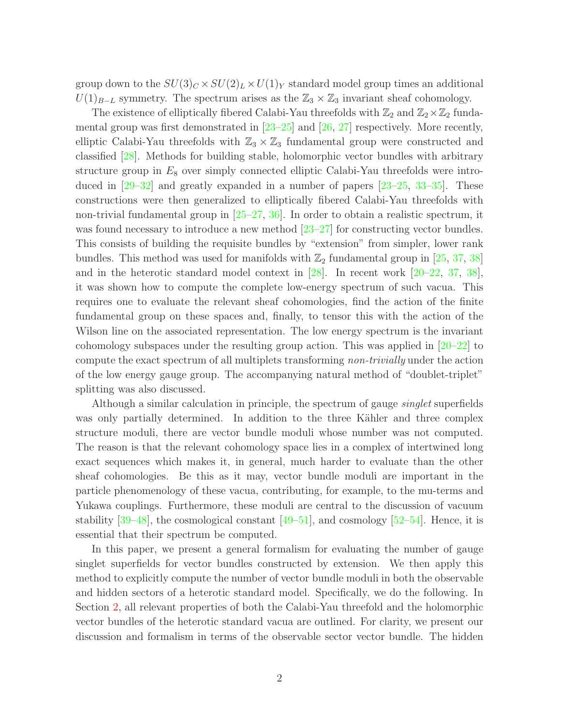group down to the  $SU(3)_C \times SU(2)_L \times U(1)_Y$  standard model group times an additional  $U(1)_{B-L}$  symmetry. The spectrum arises as the  $\mathbb{Z}_3 \times \mathbb{Z}_3$  invariant sheaf cohomology.

The existence of elliptically fibered Calabi-Yau threefolds with  $\mathbb{Z}_2$  and  $\mathbb{Z}_2\times\mathbb{Z}_2$  fundamental group was first demonstrated in [\[23](#page-28-0)[–25\]](#page-28-2) and [\[26,](#page-28-3) [27](#page-28-4)] respectively. More recently, elliptic Calabi-Yau threefolds with  $\mathbb{Z}_3 \times \mathbb{Z}_3$  fundamental group were constructed and classified [\[28\]](#page-28-5). Methods for building stable, holomorphic vector bundles with arbitrary structure group in  $E_8$  over simply connected elliptic Calabi-Yau threefolds were introduced in [\[29](#page-28-6)[–32\]](#page-28-9) and greatly expanded in a number of papers [\[23](#page-28-0)[–25](#page-28-2), [33](#page-28-10)[–35\]](#page-28-12). These constructions were then generalized to elliptically fibered Calabi-Yau threefolds with non-trivial fundamental group in [\[25](#page-28-2)[–27,](#page-28-4) [36](#page-29-0)]. In order to obtain a realistic spectrum, it was found necessary to introduce a new method [\[23](#page-28-0)[–27](#page-28-4)] for constructing vector bundles. This consists of building the requisite bundles by "extension" from simpler, lower rank bundles. This method was used for manifolds with  $\mathbb{Z}_2$  fundamental group in [\[25](#page-28-2), [37,](#page-29-1) [38\]](#page-29-2) and in the heterotic standard model context in [\[28](#page-28-5)]. In recent work [\[20](#page-27-11)[–22,](#page-27-13) [37,](#page-29-1) [38](#page-29-2)], it was shown how to compute the complete low-energy spectrum of such vacua. This requires one to evaluate the relevant sheaf cohomologies, find the action of the finite fundamental group on these spaces and, finally, to tensor this with the action of the Wilson line on the associated representation. The low energy spectrum is the invariant cohomology subspaces under the resulting group action. This was applied in [\[20](#page-27-11)[–22](#page-27-13)] to compute the exact spectrum of all multiplets transforming *non-trivially* under the action of the low energy gauge group. The accompanying natural method of "doublet-triplet" splitting was also discussed.

Although a similar calculation in principle, the spectrum of gauge *singlet* superfields was only partially determined. In addition to the three Kähler and three complex structure moduli, there are vector bundle moduli whose number was not computed. The reason is that the relevant cohomology space lies in a complex of intertwined long exact sequences which makes it, in general, much harder to evaluate than the other sheaf cohomologies. Be this as it may, vector bundle moduli are important in the particle phenomenology of these vacua, contributing, for example, to the mu-terms and Yukawa couplings. Furthermore, these moduli are central to the discussion of vacuum stability  $[39-48]$ , the cosmological constant  $[49-51]$ , and cosmology  $[52-54]$ . Hence, it is essential that their spectrum be computed.

In this paper, we present a general formalism for evaluating the number of gauge singlet superfields for vector bundles constructed by extension. We then apply this method to explicitly compute the number of vector bundle moduli in both the observable and hidden sectors of a heterotic standard model. Specifically, we do the following. In Section [2,](#page-4-0) all relevant properties of both the Calabi-Yau threefold and the holomorphic vector bundles of the heterotic standard vacua are outlined. For clarity, we present our discussion and formalism in terms of the observable sector vector bundle. The hidden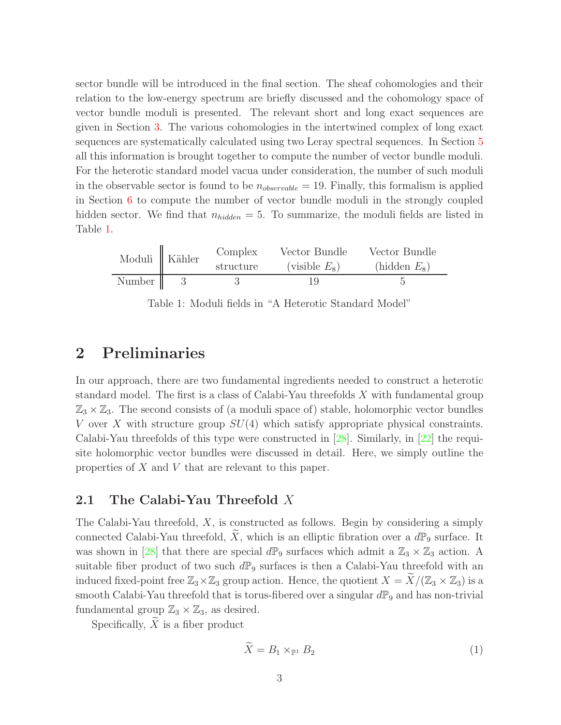sector bundle will be introduced in the final section. The sheaf cohomologies and their relation to the low-energy spectrum are briefly discussed and the cohomology space of vector bundle moduli is presented. The relevant short and long exact sequences are given in Section [3.](#page-8-0) The various cohomologies in the intertwined complex of long exact sequences are systematically calculated using two Leray spectral sequences. In Section [5](#page-21-0) all this information is brought together to compute the number of vector bundle moduli. For the heterotic standard model vacua under consideration, the number of such moduli in the observable sector is found to be  $n_{observable} = 19$ . Finally, this formalism is applied in Section [6](#page-21-1) to compute the number of vector bundle moduli in the strongly coupled hidden sector. We find that  $n_{hidden} = 5$ . To summarize, the moduli fields are listed in Table [1.](#page-4-2)

|        | Moduli Kähler | Complex   | Vector Bundle    | Vector Bundle  |
|--------|---------------|-----------|------------------|----------------|
|        |               | structure | (visible $E_8$ ) | $(hidden E_8)$ |
| Number |               |           |                  |                |

<span id="page-4-2"></span>Table 1: Moduli fields in "A Heterotic Standard Model"

### <span id="page-4-0"></span>2 Preliminaries

In our approach, there are two fundamental ingredients needed to construct a heterotic standard model. The first is a class of Calabi-Yau threefolds  $X$  with fundamental group  $\mathbb{Z}_3 \times \mathbb{Z}_3$ . The second consists of (a moduli space of) stable, holomorphic vector bundles V over X with structure group  $SU(4)$  which satisfy appropriate physical constraints. Calabi-Yau threefolds of this type were constructed in [\[28\]](#page-28-5). Similarly, in [\[22\]](#page-27-13) the requisite holomorphic vector bundles were discussed in detail. Here, we simply outline the properties of X and V that are relevant to this paper.

### <span id="page-4-1"></span>2.1 The Calabi-Yau Threefold X

The Calabi-Yau threefold, X, is constructed as follows. Begin by considering a simply connected Calabi-Yau threefold,  $\widetilde{X}$ , which is an elliptic fibration over a  $d\mathbb{P}_9$  surface. It was shown in [\[28\]](#page-28-5) that there are special  $d\mathbb{P}_9$  surfaces which admit a  $\mathbb{Z}_3 \times \mathbb{Z}_3$  action. A suitable fiber product of two such  $d\mathbb{P}_9$  surfaces is then a Calabi-Yau threefold with an induced fixed-point free  $\mathbb{Z}_3\times\mathbb{Z}_3$  group action. Hence, the quotient  $X = \widetilde{X}/(\mathbb{Z}_3\times\mathbb{Z}_3)$  is a smooth Calabi-Yau threefold that is torus-fibered over a singular  $d\mathbb{P}_9$  and has non-trivial fundamental group  $\mathbb{Z}_3 \times \mathbb{Z}_3$ , as desired.

Specifically,  $X$  is a fiber product

$$
\widetilde{X} = B_1 \times_{\mathbb{P}^1} B_2 \tag{1}
$$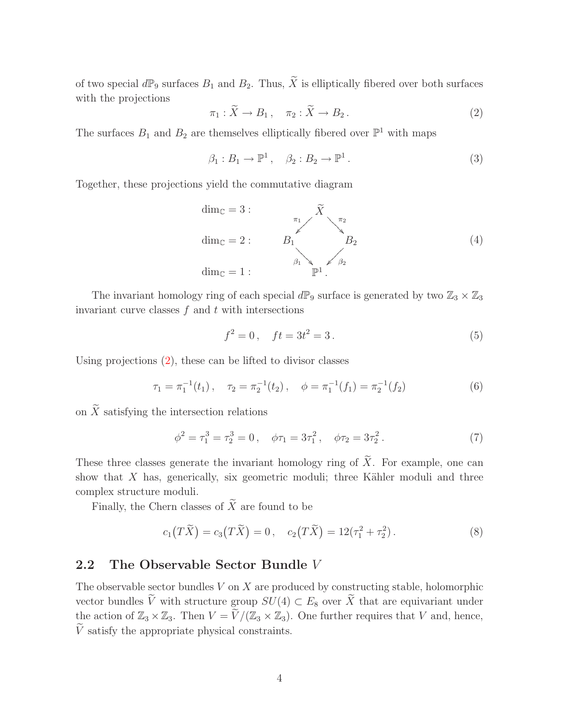<span id="page-5-1"></span>of two special  $d\mathbb{P}_9$  surfaces  $B_1$  and  $B_2$ . Thus,  $\widetilde{X}$  is elliptically fibered over both surfaces with the projections

$$
\pi_1 : \widetilde{X} \to B_1 \,, \quad \pi_2 : \widetilde{X} \to B_2 \,. \tag{2}
$$

The surfaces  $B_1$  and  $B_2$  are themselves elliptically fibered over  $\mathbb{P}^1$  with maps

<span id="page-5-3"></span>
$$
\beta_1: B_1 \to \mathbb{P}^1 \,, \quad \beta_2: B_2 \to \mathbb{P}^1 \,. \tag{3}
$$

Together, these projections yield the commutative diagram

$$
\dim_{\mathbb{C}} = 3:
$$
\n
$$
\lim_{\mathbb{C}} = 2:
$$
\n
$$
B_1 \qquad B_2
$$
\n
$$
\lim_{\beta_1} = 1:
$$
\n
$$
\lim_{\beta_2} \qquad \lim_{\beta_2} \qquad \dots \qquad \lim_{\beta_n} \qquad \dots \qquad \dots \qquad (4)
$$

The invariant homology ring of each special  $d\mathbb{P}_9$  surface is generated by two  $\mathbb{Z}_3 \times \mathbb{Z}_3$ invariant curve classes  $f$  and  $t$  with intersections

<span id="page-5-2"></span>
$$
f^2 = 0, \quad ft = 3t^2 = 3. \tag{5}
$$

Using projections [\(2\)](#page-5-1), these can be lifted to divisor classes

$$
\tau_1 = \pi_1^{-1}(t_1), \quad \tau_2 = \pi_2^{-1}(t_2), \quad \phi = \pi_1^{-1}(f_1) = \pi_2^{-1}(f_2) \tag{6}
$$

on  $\widetilde{X}$  satisfying the intersection relations

$$
\phi^2 = \tau_1^3 = \tau_2^3 = 0 \,, \quad \phi \tau_1 = 3\tau_1^2 \,, \quad \phi \tau_2 = 3\tau_2^2 \,. \tag{7}
$$

These three classes generate the invariant homology ring of  $\widetilde{X}$ . For example, one can show that  $X$  has, generically, six geometric moduli; three Kähler moduli and three complex structure moduli.

Finally, the Chern classes of  $\widetilde{X}$  are found to be

$$
c_1(T\widetilde{X}) = c_3(T\widetilde{X}) = 0, \quad c_2(T\widetilde{X}) = 12(\tau_1^2 + \tau_2^2).
$$
 (8)

### <span id="page-5-0"></span>2.2 The Observable Sector Bundle V

The observable sector bundles  $V$  on  $X$  are produced by constructing stable, holomorphic vector bundles  $\tilde{V}$  with structure group  $SU(4) \subset E_8$  over  $\tilde{X}$  that are equivariant under the action of  $\mathbb{Z}_3 \times \mathbb{Z}_3$ . Then  $V = \widetilde{V}/(\mathbb{Z}_3 \times \mathbb{Z}_3)$ . One further requires that V and, hence,  $\widetilde{V}$  satisfy the appropriate physical constraints.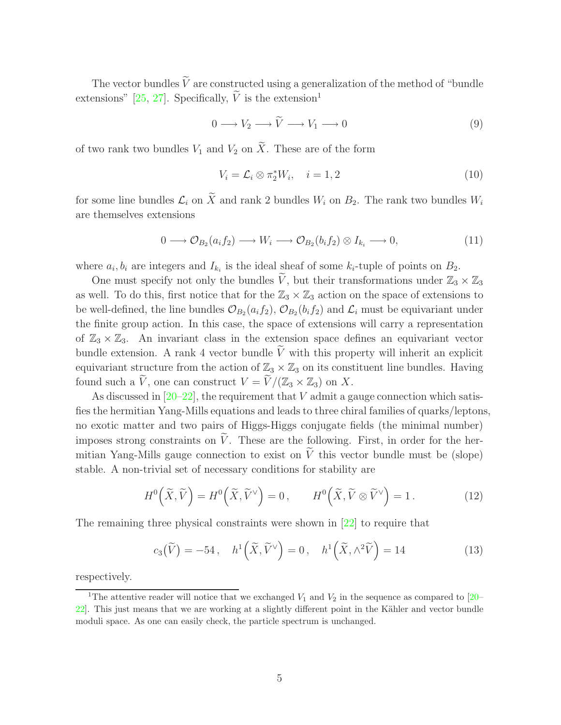The vector bundles  $\tilde{V}$  are constructed using a generalization of the method of "bundle" extensions" [\[25,](#page-28-2) [27\]](#page-28-4). Specifically,  $\tilde{V}$  is the extension<sup>1</sup>

<span id="page-6-2"></span><span id="page-6-1"></span>
$$
0 \longrightarrow V_2 \longrightarrow \widetilde{V} \longrightarrow V_1 \longrightarrow 0 \tag{9}
$$

of two rank two bundles  $V_1$  and  $V_2$  on  $\widetilde{X}$ . These are of the form

$$
V_i = \mathcal{L}_i \otimes \pi_2^* W_i, \quad i = 1, 2 \tag{10}
$$

for some line bundles  $\mathcal{L}_i$  on  $\widetilde{X}$  and rank 2 bundles  $W_i$  on  $B_2$ . The rank two bundles  $W_i$ are themselves extensions

<span id="page-6-0"></span>
$$
0 \longrightarrow \mathcal{O}_{B_2}(a_i f_2) \longrightarrow W_i \longrightarrow \mathcal{O}_{B_2}(b_i f_2) \otimes I_{k_i} \longrightarrow 0,
$$
\n(11)

where  $a_i, b_i$  are integers and  $I_{k_i}$  is the ideal sheaf of some  $k_i$ -tuple of points on  $B_2$ .

One must specify not only the bundles  $\tilde{V}$ , but their transformations under  $\mathbb{Z}_3 \times \mathbb{Z}_3$ as well. To do this, first notice that for the  $\mathbb{Z}_3 \times \mathbb{Z}_3$  action on the space of extensions to be well-defined, the line bundles  $\mathcal{O}_{B_2}(a_i f_2)$ ,  $\mathcal{O}_{B_2}(b_i f_2)$  and  $\mathcal{L}_i$  must be equivariant under the finite group action. In this case, the space of extensions will carry a representation of  $\mathbb{Z}_3 \times \mathbb{Z}_3$ . An invariant class in the extension space defines an equivariant vector bundle extension. A rank 4 vector bundle  $\tilde{V}$  with this property will inherit an explicit equivariant structure from the action of  $\mathbb{Z}_3 \times \mathbb{Z}_3$  on its constituent line bundles. Having found such a  $V$ , one can construct  $V = V/(\mathbb{Z}_3 \times \mathbb{Z}_3)$  on X.

As discussed in  $[20-22]$ , the requirement that V admit a gauge connection which satisfies the hermitian Yang-Mills equations and leads to three chiral families of quarks/leptons, no exotic matter and two pairs of Higgs-Higgs conjugate fields (the minimal number) imposes strong constraints on  $\tilde{V}$ . These are the following. First, in order for the hermitian Yang-Mills gauge connection to exist on  $\tilde{V}$  this vector bundle must be (slope) stable. A non-trivial set of necessary conditions for stability are

<span id="page-6-3"></span>
$$
H^{0}\left(\widetilde{X},\widetilde{V}\right) = H^{0}\left(\widetilde{X},\widetilde{V}^{\vee}\right) = 0, \qquad H^{0}\left(\widetilde{X},\widetilde{V}\otimes\widetilde{V}^{\vee}\right) = 1. \tag{12}
$$

The remaining three physical constraints were shown in [\[22\]](#page-27-13) to require that

<span id="page-6-4"></span>
$$
c_3(\widetilde{V}) = -54, \quad h^1\left(\widetilde{X}, \widetilde{V}^{\vee}\right) = 0, \quad h^1\left(\widetilde{X}, \wedge^2 \widetilde{V}\right) = 14
$$
 (13)

respectively.

<sup>&</sup>lt;sup>1</sup>The attentive reader will notice that we exchanged  $V_1$  and  $V_2$  in the sequence as compared to [\[20–](#page-27-11) [22\]](#page-27-13). This just means that we are working at a slightly different point in the Kähler and vector bundle moduli space. As one can easily check, the particle spectrum is unchanged.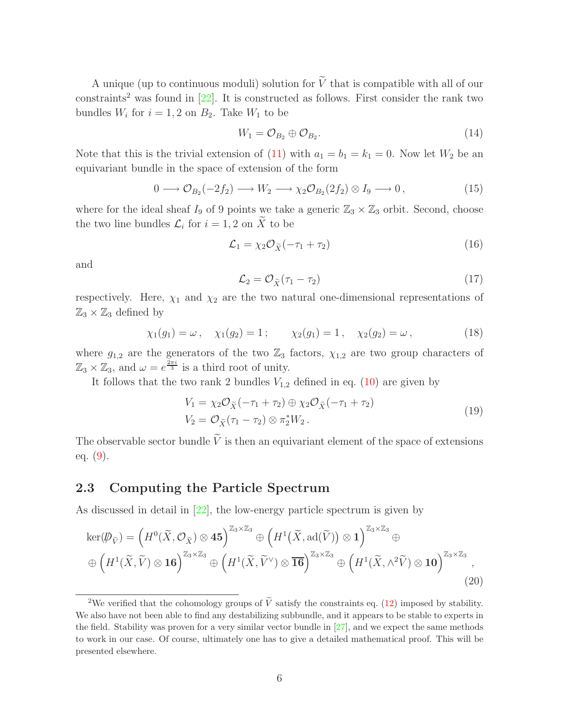A unique (up to continuous moduli) solution for  $\tilde{V}$  that is compatible with all of our constraints<sup>2</sup> was found in  $[22]$ . It is constructed as follows. First consider the rank two bundles  $W_i$  for  $i = 1, 2$  on  $B_2$ . Take  $W_1$  to be

$$
W_1 = \mathcal{O}_{B_2} \oplus \mathcal{O}_{B_2}.\tag{14}
$$

Note that this is the trivial extension of [\(11\)](#page-6-0) with  $a_1 = b_1 = k_1 = 0$ . Now let  $W_2$  be an equivariant bundle in the space of extension of the form

$$
0 \longrightarrow \mathcal{O}_{B_2}(-2f_2) \longrightarrow W_2 \longrightarrow \chi_2 \mathcal{O}_{B_2}(2f_2) \otimes I_9 \longrightarrow 0, \tag{15}
$$

where for the ideal sheaf  $I_9$  of 9 points we take a generic  $\mathbb{Z}_3 \times \mathbb{Z}_3$  orbit. Second, choose the two line bundles  $\mathcal{L}_i$  for  $i = 1, 2$  on X to be

$$
\mathcal{L}_1 = \chi_2 \mathcal{O}_{\widetilde{X}}(-\tau_1 + \tau_2) \tag{16}
$$

and

<span id="page-7-2"></span>
$$
\mathcal{L}_2 = \mathcal{O}_{\widetilde{X}}(\tau_1 - \tau_2) \tag{17}
$$

respectively. Here,  $\chi_1$  and  $\chi_2$  are the two natural one-dimensional representations of  $\mathbb{Z}_3 \times \mathbb{Z}_3$  defined by

$$
\chi_1(g_1) = \omega, \quad \chi_1(g_2) = 1; \quad \chi_2(g_1) = 1, \quad \chi_2(g_2) = \omega,
$$
\n(18)

where  $g_{1,2}$  are the generators of the two  $\mathbb{Z}_3$  factors,  $\chi_{1,2}$  are two group characters of  $\mathbb{Z}_3 \times \mathbb{Z}_3$ , and  $\omega = e^{\frac{2\pi i}{3}}$  is a third root of unity.

It follows that the two rank 2 bundles  $V_{1,2}$  defined in eq. [\(10\)](#page-6-1) are given by

<span id="page-7-1"></span>
$$
V_1 = \chi_2 \mathcal{O}_{\tilde{X}}(-\tau_1 + \tau_2) \oplus \chi_2 \mathcal{O}_{\tilde{X}}(-\tau_1 + \tau_2)
$$
  
\n
$$
V_2 = \mathcal{O}_{\tilde{X}}(\tau_1 - \tau_2) \otimes \pi_2^* W_2.
$$
\n(19)

The observable sector bundle  $\tilde{V}$  is then an equivariant element of the space of extensions eq. [\(9\)](#page-6-2).

### <span id="page-7-0"></span>2.3 Computing the Particle Spectrum

As discussed in detail in [\[22\]](#page-27-13), the low-energy particle spectrum is given by

$$
\ker(\mathcal{D}_{\tilde{V}}) = \left(H^{0}(\tilde{X}, \mathcal{O}_{\tilde{X}}) \otimes \mathbf{45}\right)^{\mathbb{Z}_{3} \times \mathbb{Z}_{3}} \oplus \left(H^{1}(\tilde{X}, \text{ad}(\tilde{V})) \otimes \mathbf{1}\right)^{\mathbb{Z}_{3} \times \mathbb{Z}_{3}} \oplus \left(H^{1}(\tilde{X}, \tilde{V}) \otimes \mathbf{16}\right)^{\mathbb{Z}_{3} \times \mathbb{Z}_{3}} \oplus \left(H^{1}(\tilde{X}, \tilde{V}) \otimes \mathbf{16}\right)^{\mathbb{Z}_{3} \times \mathbb{Z}_{3}},
$$
\n
$$
\oplus \left(H^{1}(\tilde{X}, \tilde{V}) \otimes \mathbf{16}\right)^{\mathbb{Z}_{3} \times \mathbb{Z}_{3}} \oplus \left(H^{1}(\tilde{X}, \tilde{V}) \otimes \mathbf{16}\right)^{\mathbb{Z}_{3} \times \mathbb{Z}_{3}},
$$
\n(20)

<sup>&</sup>lt;sup>2</sup>We verified that the cohomology groups of  $\tilde{V}$  satisfy the constraints eq. [\(12\)](#page-6-3) imposed by stability. We also have not been able to find any destabilizing subbundle, and it appears to be stable to experts in the field. Stability was proven for a very similar vector bundle in [\[27](#page-28-4)], and we expect the same methods to work in our case. Of course, ultimately one has to give a detailed mathematical proof. This will be presented elsewhere.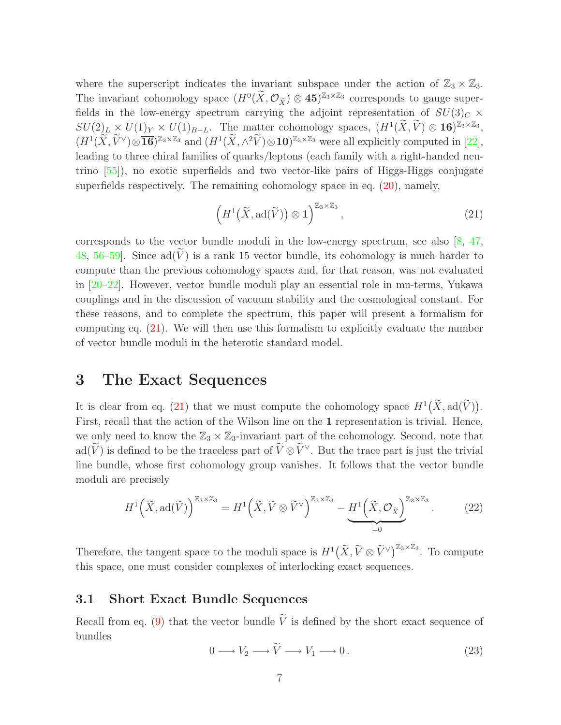where the superscript indicates the invariant subspace under the action of  $\mathbb{Z}_3 \times \mathbb{Z}_3$ . The invariant cohomology space  $(H^0(\tilde{X}, \mathcal{O}_{\tilde{X}}) \otimes 45)^{\mathbb{Z}_3 \times \mathbb{Z}_3}$  corresponds to gauge superfields in the low-energy spectrum carrying the adjoint representation of  $SU(3)_C \times$  $SU(2)_L \times U(1)_Y \times U(1)_{B-L}$ . The matter cohomology spaces,  $(H^1(\tilde{X}, \tilde{V}) \otimes 16)^{\mathbb{Z}_3 \times \mathbb{Z}_3}$ ,  $(H^1(\widetilde{X}, \widetilde{V}^{\vee}) \otimes \overline{\mathbf{16}})^{\mathbb{Z}_3 \times \mathbb{Z}_3}$  and  $(H^1(\widetilde{X}, \wedge^2 \widetilde{V}) \otimes \mathbf{10})^{\mathbb{Z}_3 \times \mathbb{Z}_3}$  were all explicitly computed in [\[22](#page-27-13)], leading to three chiral families of quarks/leptons (each family with a right-handed neutrino [\[55](#page-30-4)]), no exotic superfields and two vector-like pairs of Higgs-Higgs conjugate superfields respectively. The remaining cohomology space in eq. [\(20\)](#page-7-1), namely,

<span id="page-8-2"></span>
$$
\left(H^1\big(\widetilde{X},\mathrm{ad}(\widetilde{V})\big)\otimes 1\right)^{\mathbb{Z}_3\times\mathbb{Z}_3},\tag{21}
$$

corresponds to the vector bundle moduli in the low-energy spectrum, see also [\[8](#page-26-8), [47,](#page-29-11) [48](#page-29-12), [56](#page-30-5)[–59](#page-30-8)]. Since  $ad(\tilde{V})$  is a rank 15 vector bundle, its cohomology is much harder to compute than the previous cohomology spaces and, for that reason, was not evaluated in [\[20](#page-27-11)[–22](#page-27-13)]. However, vector bundle moduli play an essential role in mu-terms, Yukawa couplings and in the discussion of vacuum stability and the cosmological constant. For these reasons, and to complete the spectrum, this paper will present a formalism for computing eq. [\(21\)](#page-8-2). We will then use this formalism to explicitly evaluate the number of vector bundle moduli in the heterotic standard model.

### <span id="page-8-0"></span>3 The Exact Sequences

It is clear from eq. [\(21\)](#page-8-2) that we must compute the cohomology space  $H^1(\widetilde{X}, \text{ad}(\widetilde{V}))$ . First, recall that the action of the Wilson line on the 1 representation is trivial. Hence, we only need to know the  $\mathbb{Z}_3 \times \mathbb{Z}_3$ -invariant part of the cohomology. Second, note that ad( $\widetilde{V}$ ) is defined to be the traceless part of  $\widetilde{V} \otimes \widetilde{V}^{\vee}$ . But the trace part is just the trivial line bundle, whose first cohomology group vanishes. It follows that the vector bundle moduli are precisely

$$
H^{1}\left(\widetilde{X},\mathrm{ad}(\widetilde{V})\right)^{\mathbb{Z}_{3}\times\mathbb{Z}_{3}}=H^{1}\left(\widetilde{X},\widetilde{V}\otimes\widetilde{V}^{\vee}\right)^{\mathbb{Z}_{3}\times\mathbb{Z}_{3}}-\underbrace{H^{1}\left(\widetilde{X},\mathcal{O}_{\widetilde{X}}\right)^{\mathbb{Z}_{3}\times\mathbb{Z}_{3}}}_{=0}.
$$
 (22)

Therefore, the tangent space to the moduli space is  $H^1(\tilde{X}, \tilde{V} \otimes \tilde{V}^{\vee})^{\mathbb{Z}_3 \times \mathbb{Z}_3}$ . To compute this space, one must consider complexes of interlocking exact sequences.

### <span id="page-8-1"></span>3.1 Short Exact Bundle Sequences

<span id="page-8-3"></span>Recall from eq. [\(9\)](#page-6-2) that the vector bundle  $\tilde{V}$  is defined by the short exact sequence of bundles

$$
0 \longrightarrow V_2 \longrightarrow \widetilde{V} \longrightarrow V_1 \longrightarrow 0. \tag{23}
$$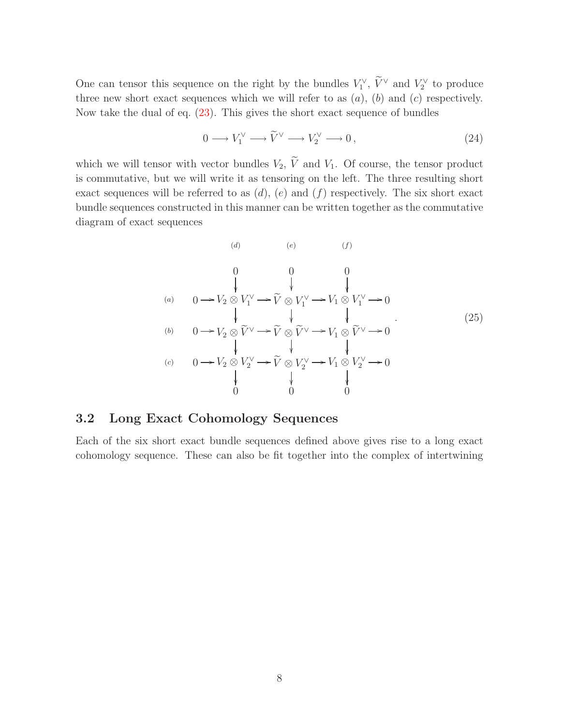One can tensor this sequence on the right by the bundles  $V_1^{\vee}$ ,  $\tilde{V}^{\vee}$  and  $V_2^{\vee}$  to produce three new short exact sequences which we will refer to as  $(a)$ ,  $(b)$  and  $(c)$  respectively. Now take the dual of eq. [\(23\)](#page-8-3). This gives the short exact sequence of bundles

<span id="page-9-2"></span>
$$
0 \longrightarrow V_1^{\vee} \longrightarrow \widetilde{V}^{\vee} \longrightarrow V_2^{\vee} \longrightarrow 0, \tag{24}
$$

which we will tensor with vector bundles  $V_2$ ,  $\widetilde{V}$  and  $V_1$ . Of course, the tensor product is commutative, but we will write it as tensoring on the left. The three resulting short exact sequences will be referred to as  $(d)$ ,  $(e)$  and  $(f)$  respectively. The six short exact bundle sequences constructed in this manner can be written together as the commutative diagram of exact sequences

<span id="page-9-1"></span>
$$
(d) \qquad (e) \qquad (f)
$$
\n
$$
(g) \qquad (g) \qquad (h)
$$
\n
$$
(h) \qquad (h) \qquad (i) \qquad (j) \qquad (k) \qquad (l) \qquad (l) \qquad (l) \qquad (l) \qquad (l) \qquad (l) \qquad (l) \qquad (l) \qquad (l) \qquad (l) \qquad (l) \qquad (l) \qquad (l) \qquad (l) \qquad (l) \qquad (l) \qquad (l) \qquad (l) \qquad (l) \qquad (l) \qquad (l) \qquad (l) \qquad (l) \qquad (l) \qquad (l) \qquad (l) \qquad (l) \qquad (l) \qquad (l) \qquad (l) \qquad (l) \qquad (l) \qquad (l) \qquad (l) \qquad (l) \qquad (l) \qquad (l) \qquad (l) \qquad (l) \qquad (l) \qquad (l) \qquad (l) \qquad (l) \qquad (l) \qquad (l) \qquad (l) \qquad (l) \qquad (l) \qquad (l) \qquad (l) \qquad (l) \qquad (l) \qquad (l) \qquad (l) \qquad (l) \qquad (l) \qquad (l) \qquad (l) \qquad (l) \qquad (l) \qquad (l) \qquad (l) \qquad (l) \qquad (l) \qquad (l) \qquad (l) \qquad (l) \qquad (l) \qquad (l) \qquad (l) \qquad (l) \qquad (l) \qquad (l) \qquad (l) \qquad (l) \qquad (l) \qquad (l) \qquad (l) \qquad (l) \qquad (l) \qquad (l) \qquad (l) \qquad (l) \qquad (l) \qquad (l) \qquad (l) \qquad (l) \qquad (l) \qquad (l) \qquad (l) \qquad (l) \qquad (l) \qquad (l) \qquad (l) \qquad (l) \qquad (l) \qquad (l) \qquad (l) \qquad (l) \qquad (l) \qquad (l) \qquad (l) \qquad (l) \qquad (l) \qquad (l) \qquad (l) \qquad (l) \qquad (l) \qquad (l) \qquad (l) \qquad (l) \qquad (l) \qquad (l) \qquad (l) \qquad
$$

### <span id="page-9-0"></span>3.2 Long Exact Cohomology Sequences

Each of the six short exact bundle sequences defined above gives rise to a long exact cohomology sequence. These can also be fit together into the complex of intertwining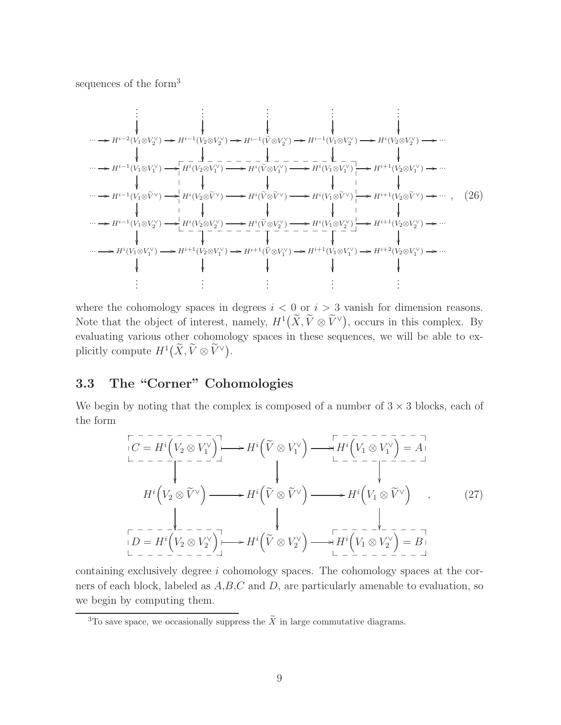<span id="page-10-1"></span>sequences of the form<sup>3</sup>

. . . . . . . . . . . . . . . ··· /Hi−<sup>2</sup> (V1⊗V ∨ 2 ) /Hi−<sup>1</sup> (V2⊗V ∨ 2 ) /Hi−<sup>1</sup> (Ve ⊗V ∨ 2 ) /Hi−<sup>1</sup> (V1⊗V ∨ 2 ) /Hi (V2⊗V ∨ 2 ) /··· ··· /Hi−<sup>1</sup> (V1⊗V ∨ 1 ) /Hi (V2⊗V ∨ 1 ) /Hi (Ve ⊗V ∨ 1 ) /Hi (V1⊗V ∨ 1 ) /Hi+1(V2⊗<sup>V</sup> ∨ 1 ) /··· ··· /Hi−<sup>1</sup> (V1⊗V<sup>e</sup> <sup>∨</sup>) /Hi (V2⊗V<sup>e</sup> <sup>∨</sup>) /Hi (V<sup>e</sup> <sup>⊗</sup>V<sup>e</sup> <sup>∨</sup>) /Hi (V1⊗V<sup>e</sup> <sup>∨</sup>) /Hi+1(V2⊗V<sup>e</sup> <sup>∨</sup>) /··· ··· /Hi−<sup>1</sup> (V1⊗V ∨ 2 ) /Hi (V2⊗V ∨ 2 ) /Hi (Ve ⊗V ∨ 2 ) /Hi (V1⊗V ∨ 2 ) /Hi+1(V2⊗<sup>V</sup> ∨ 2 ) /··· ··· /H<sup>i</sup> (V1⊗V ∨ 1 ) /Hi+1(V2⊗<sup>V</sup> ∨ 1 ) /Hi+1(V<sup>e</sup> <sup>⊗</sup><sup>V</sup> ∨ 1 ) /Hi+1(V1⊗<sup>V</sup> ∨ 1 ) /Hi+2(V2⊗<sup>V</sup> ∨ 1 ) /··· . . . . . . . . . . . . . . . \_ \_ \_ \_ \_ \_ \_ \_ \_ \_ \_ \_ \_ \_ \_ \_ \_ \_ \_ \_ \_ \_ \_ \_ \_ \_ \_ \_ \_ \_ \_ \_ \_ \_ \_ \_ \_ \_ , (26)

where the cohomology spaces in degrees  $i < 0$  or  $i > 3$  vanish for dimension reasons. Note that the object of interest, namely,  $H^1(\tilde{X}, \tilde{V} \otimes \tilde{V}^{\vee})$ , occurs in this complex. By evaluating various other cohomology spaces in these sequences, we will be able to explicitly compute  $H^1(\widetilde{X}, \widetilde{V} \otimes \widetilde{V}^{\vee}).$ 

# <span id="page-10-0"></span>3.3 The "Corner" Cohomologies

We begin by noting that the complex is composed of a number of  $3 \times 3$  blocks, each of the form

$$
H^{i}\left(\tilde{V}_{2}\otimes\tilde{V}^{\vee}\right) \longrightarrow H^{i}\left(\tilde{V}\otimes V_{1}^{\vee}\right) \longrightarrow H^{i}\left(\tilde{V}_{1}\otimes V_{1}^{\vee}\right) = A
$$
\n
$$
\downarrow \qquad \qquad \downarrow \qquad \qquad \downarrow \qquad \qquad \downarrow \qquad \qquad \downarrow \qquad \qquad \downarrow \qquad \qquad \downarrow \qquad \qquad \downarrow \qquad \qquad \downarrow \qquad \qquad \downarrow \qquad \qquad \downarrow \qquad \qquad \downarrow \qquad \qquad \downarrow \qquad \qquad \downarrow \qquad \qquad \downarrow \qquad \qquad \downarrow \qquad \qquad \downarrow \qquad \qquad \downarrow \qquad \qquad \downarrow \qquad \qquad \downarrow \qquad \qquad \downarrow \qquad \qquad \downarrow \qquad \qquad \downarrow \qquad \qquad \downarrow \qquad \qquad \downarrow \qquad \qquad \downarrow \qquad \qquad \downarrow \qquad \qquad \downarrow \qquad \qquad \downarrow \qquad \qquad \downarrow \qquad \qquad \downarrow \qquad \qquad \downarrow \qquad \qquad \downarrow \qquad \qquad \downarrow \qquad \qquad \downarrow \qquad \qquad \downarrow \qquad \qquad \downarrow \qquad \qquad \downarrow \qquad \qquad \downarrow \qquad \qquad \downarrow \qquad \qquad \downarrow \qquad \qquad \downarrow \qquad \qquad \downarrow \qquad \qquad \downarrow \qquad \qquad \downarrow \qquad \qquad \downarrow \qquad \qquad \downarrow \qquad \qquad \downarrow \qquad \qquad \downarrow \qquad \qquad \downarrow \qquad \qquad \downarrow \qquad \qquad \downarrow \qquad \qquad \downarrow \qquad \qquad \downarrow \qquad \qquad \downarrow \qquad \qquad \downarrow \qquad \qquad \downarrow \qquad \qquad \downarrow \qquad \qquad \downarrow \qquad \qquad \downarrow \qquad \qquad \downarrow \qquad \qquad \downarrow \qquad \qquad \downarrow \qquad \qquad \downarrow \qquad \qquad \downarrow \qquad \qquad \downarrow \qquad \qquad \downarrow \qquad \qquad \downarrow \qquad \qquad \downarrow \qquad \qquad \downarrow \qquad \qquad \downarrow \qquad \qquad \downarrow \qquad \qquad \downarrow \qquad \qquad \downarrow \qquad \qquad
$$

containing exclusively degree i cohomology spaces. The cohomology spaces at the corners of each block, labeled as  $A, B, C$  and  $D$ , are particularly amenable to evaluation, so we begin by computing them.

<sup>&</sup>lt;sup>3</sup>To save space, we occasionally suppress the  $\widetilde{X}$  in large commutative diagrams.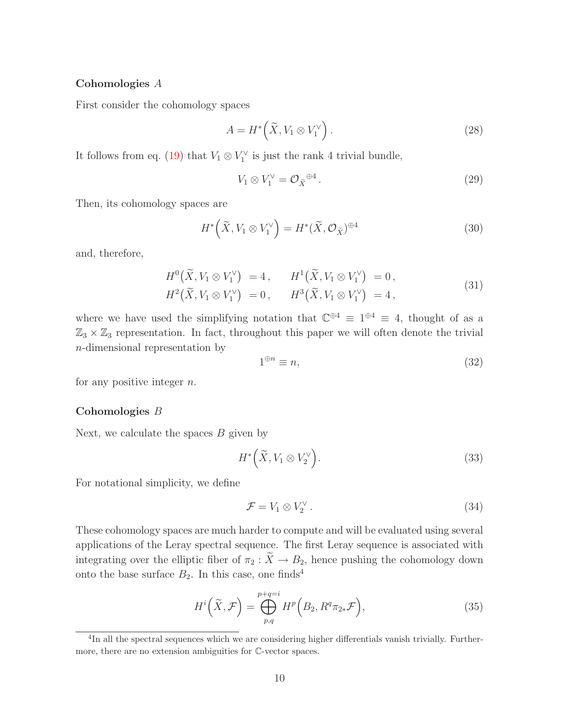#### Cohomologies A

First consider the cohomology spaces

$$
A = H^* \left( \tilde{X}, V_1 \otimes V_1^{\vee} \right). \tag{28}
$$

It follows from eq. [\(19\)](#page-7-2) that  $V_1 \otimes V_1^{\vee}$  is just the rank 4 trivial bundle,

$$
V_1 \otimes V_1^{\vee} = \mathcal{O}_{\widetilde{X}} \mathbb{P}^4. \tag{29}
$$

Then, its cohomology spaces are

$$
H^*\left(\widetilde{X}, V_1 \otimes V_1^{\vee}\right) = H^*(\widetilde{X}, \mathcal{O}_{\widetilde{X}})^{\oplus 4}
$$
\n(30)

and, therefore,

$$
H^{0}(\widetilde{X}, V_{1} \otimes V_{1}^{\vee}) = 4, \qquad H^{1}(\widetilde{X}, V_{1} \otimes V_{1}^{\vee}) = 0, H^{2}(\widetilde{X}, V_{1} \otimes V_{1}^{\vee}) = 0, \qquad H^{3}(\widetilde{X}, V_{1} \otimes V_{1}^{\vee}) = 4,
$$
\n(31)

where we have used the simplifying notation that  $\mathbb{C}^{\oplus 4} \equiv 1^{\oplus 4} \equiv 4$ , thought of as a  $\mathbb{Z}_3 \times \mathbb{Z}_3$  representation. In fact, throughout this paper we will often denote the trivial n-dimensional representation by

$$
1^{\oplus n} \equiv n,\tag{32}
$$

for any positive integer  $n$ .

#### Cohomologies B

Next, we calculate the spaces  $B$  given by

<span id="page-11-1"></span>
$$
H^*\left(\widetilde{X}, V_1 \otimes V_2^{\vee}\right). \tag{33}
$$

For notational simplicity, we define

<span id="page-11-0"></span>
$$
\mathcal{F} = V_1 \otimes V_2^{\vee} \,. \tag{34}
$$

These cohomology spaces are much harder to compute and will be evaluated using several applications of the Leray spectral sequence. The first Leray sequence is associated with integrating over the elliptic fiber of  $\pi_2 : \widetilde{X} \to B_2$ , hence pushing the cohomology down onto the base surface  $B_2$ . In this case, one finds<sup>4</sup>

$$
H^{i}\left(\widetilde{X},\mathcal{F}\right) = \bigoplus_{p,q}^{p+q=i} H^{p}\left(B_{2}, R^{q}\pi_{2*}\mathcal{F}\right),\tag{35}
$$

<sup>&</sup>lt;sup>4</sup>In all the spectral sequences which we are considering higher differentials vanish trivially. Furthermore, there are no extension ambiguities for C-vector spaces.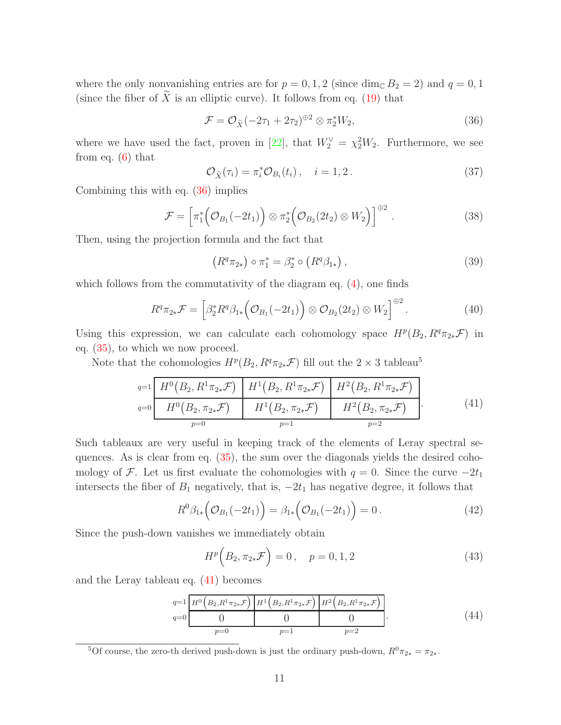where the only nonvanishing entries are for  $p = 0, 1, 2$  (since dim<sub>C</sub>  $B_2 = 2$ ) and  $q = 0, 1$ (since the fiber of  $\widetilde{X}$  is an elliptic curve). It follows from eq. [\(19\)](#page-7-2) that

<span id="page-12-0"></span>
$$
\mathcal{F} = \mathcal{O}_{\widetilde{X}}(-2\tau_1 + 2\tau_2)^{\oplus 2} \otimes \pi_2^* W_2, \tag{36}
$$

where we have used the fact, proven in [\[22\]](#page-27-13), that  $W_2^{\vee} = \chi_2^2 W_2$ . Furthermore, we see from eq.  $(6)$  that

$$
\mathcal{O}_{\widetilde{X}}(\tau_i) = \pi_i^* \mathcal{O}_{B_i}(t_i), \quad i = 1, 2.
$$
\n(37)

Combining this with eq. [\(36\)](#page-12-0) implies

$$
\mathcal{F} = \left[ \pi_1^* \bigg( \mathcal{O}_{B_1}(-2t_1) \bigg) \otimes \pi_2^* \bigg( \mathcal{O}_{B_2}(2t_2) \otimes W_2 \bigg) \right]^{\oplus 2} . \tag{38}
$$

Then, using the projection formula and the fact that

<span id="page-12-2"></span><span id="page-12-1"></span>
$$
(R^q \pi_{2*}) \circ \pi_1^* = \beta_2^* \circ (R^q \beta_{1*}), \qquad (39)
$$

which follows from the commutativity of the diagram eq.  $(4)$ , one finds

$$
R^q \pi_{2*} \mathcal{F} = \left[ \beta_2^* R^q \beta_{1*} \left( \mathcal{O}_{B_1}(-2t_1) \right) \otimes \mathcal{O}_{B_2}(2t_2) \otimes W_2 \right]^{\oplus 2}.
$$
 (40)

Using this expression, we can calculate each cohomology space  $H^p(B_2, R^q\pi_{2*}\mathcal{F})$  in eq. [\(35\)](#page-11-0), to which we now proceed.

Note that the cohomologies  $H^p(B_2, R^q\pi_{2*}\mathcal{F})$  fill out the  $2 \times 3$  tableau<sup>5</sup>

$$
q=1 \n\begin{array}{c|c|c|c|c|c} H^0(B_2, R^1 \pi_{2*} \mathcal{F}) & H^1(B_2, R^1 \pi_{2*} \mathcal{F}) & H^2(B_2, R^1 \pi_{2*} \mathcal{F}) \\ \hline H^0(B_2, \pi_{2*} \mathcal{F}) & H^1(B_2, \pi_{2*} \mathcal{F}) & H^2(B_2, \pi_{2*} \mathcal{F}) \\ \hline p=0 & p=1 & p=2 \end{array} \tag{41}
$$

Such tableaux are very useful in keeping track of the elements of Leray spectral sequences. As is clear from eq. [\(35\)](#page-11-0), the sum over the diagonals yields the desired cohomology of F. Let us first evaluate the cohomologies with  $q = 0$ . Since the curve  $-2t_1$ intersects the fiber of  $B_1$  negatively, that is,  $-2t_1$  has negative degree, it follows that

$$
R^{0}\beta_{1*}\Big(\mathcal{O}_{B_{1}}(-2t_{1})\Big)=\beta_{1*}\Big(\mathcal{O}_{B_{1}}(-2t_{1})\Big)=0.
$$
\n(42)

Since the push-down vanishes we immediately obtain

$$
H^{p}\left(B_{2}, \pi_{2*}\mathcal{F}\right) = 0, \quad p = 0, 1, 2 \tag{43}
$$

and the Leray tableau eq. [\(41\)](#page-12-1) becomes

$$
q=1 \frac{H^0\left(B_2, R^1\pi_{2*}\mathcal{F}\right) \left[H^1\left(B_2, R^1\pi_{2*}\mathcal{F}\right) \right] H^2\left(B_2, R^1\pi_{2*}\mathcal{F}\right)}{0 \qquad 0}
$$
\n
$$
q=0 \qquad \qquad 0 \qquad 0 \qquad 0 \qquad 0 \qquad 0 \qquad 0 \qquad 44
$$

<sup>&</sup>lt;sup>5</sup>Of course, the zero-th derived push-down is just the ordinary push-down,  $R^0 \pi_{2*} = \pi_{2*}$ .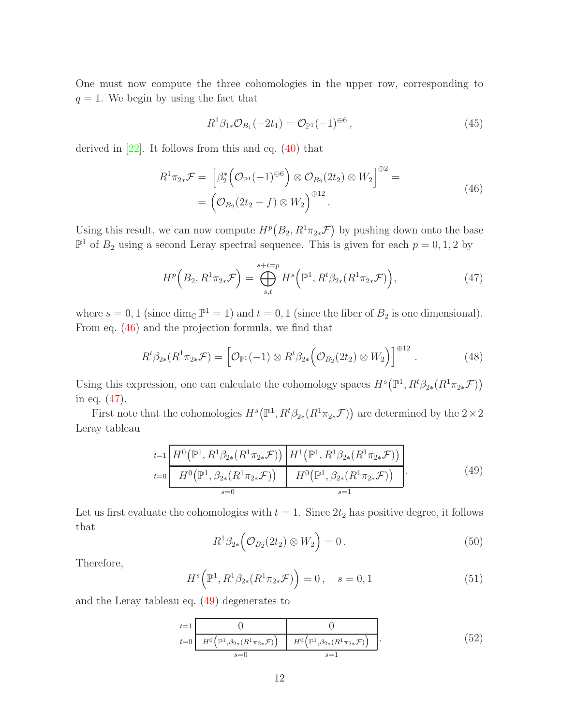One must now compute the three cohomologies in the upper row, corresponding to  $q = 1$ . We begin by using the fact that

<span id="page-13-4"></span><span id="page-13-1"></span><span id="page-13-0"></span>
$$
R^1 \beta_{1*} \mathcal{O}_{B_1}(-2t_1) = \mathcal{O}_{\mathbb{P}^1}(-1)^{\oplus 6}, \qquad (45)
$$

derived in  $[22]$ . It follows from this and eq.  $(40)$  that

$$
R^1 \pi_{2*} \mathcal{F} = \left[ \beta_2^* \left( \mathcal{O}_{\mathbb{P}^1}(-1)^{\oplus 6} \right) \otimes \mathcal{O}_{B_2}(2t_2) \otimes W_2 \right]^{\oplus 2} = \left( \mathcal{O}_{B_2}(2t_2 - f) \otimes W_2 \right)^{\oplus 12}.
$$
\n(46)

Using this result, we can now compute  $H^p(B_2, R^1\pi_{2*}\mathcal{F})$  by pushing down onto the base  $\mathbb{P}^1$  of  $B_2$  using a second Leray spectral sequence. This is given for each  $p = 0, 1, 2$  by

<span id="page-13-3"></span>
$$
H^{p}\left(B_{2}, R^{1}\pi_{2*}\mathcal{F}\right) = \bigoplus_{s,t}^{s+t=p} H^{s}\left(\mathbb{P}^{1}, R^{t}\beta_{2*}(R^{1}\pi_{2*}\mathcal{F})\right),\tag{47}
$$

where  $s = 0, 1$  (since dim<sub>C</sub>  $\mathbb{P}^1 = 1$ ) and  $t = 0, 1$  (since the fiber of  $B_2$  is one dimensional). From eq. [\(46\)](#page-13-0) and the projection formula, we find that

$$
R^t \beta_{2*}(R^1 \pi_{2*} \mathcal{F}) = \left[ \mathcal{O}_{\mathbb{P}^1}(-1) \otimes R^t \beta_{2*} \left( \mathcal{O}_{B_2}(2t_2) \otimes W_2 \right) \right]^{\oplus 12}.
$$
 (48)

Using this expression, one can calculate the cohomology spaces  $H^s(\mathbb{P}^1, R^t\beta_{2*}(R^1\pi_{2*}\mathcal{F}))$ in eq. [\(47\)](#page-13-1).

<span id="page-13-2"></span>First note that the cohomologies  $H^s(\mathbb{P}^1, R^t\beta_{2*}(R^1\pi_{2*}\mathcal{F}))$  are determined by the  $2\times 2$ Leray tableau

$$
t=1 \frac{H^0(\mathbb{P}^1, R^1\beta_{2*}(R^1\pi_{2*}\mathcal{F}))}{H^0(\mathbb{P}^1, \beta_{2*}(R^1\pi_{2*}\mathcal{F}))} \frac{H^1(\mathbb{P}^1, R^1\beta_{2*}(R^1\pi_{2*}\mathcal{F}))}{H^0(\mathbb{P}^1, \beta_{2*}(R^1\pi_{2*}\mathcal{F}))}.
$$
\n
$$
t=0 \frac{H^0(\mathbb{P}^1, \beta_{2*}(R^1\pi_{2*}\mathcal{F}))}{s=1}.
$$
\n
$$
(49)
$$

Let us first evaluate the cohomologies with  $t = 1$ . Since  $2t_2$  has positive degree, it follows that

$$
R^1 \beta_{2*} \left( \mathcal{O}_{B_2}(2t_2) \otimes W_2 \right) = 0. \qquad (50)
$$

Therefore,

<span id="page-13-5"></span>
$$
H^s(\mathbb{P}^1, R^1\beta_{2*}(R^1\pi_{2*}\mathcal{F})) = 0, \quad s = 0, 1
$$
 (51)

and the Leray tableau eq. [\(49\)](#page-13-2) degenerates to

$$
\begin{array}{ll}\nt=1 & 0 & 0 \\
\hline\nH^0\left(\mathbb{P}^1, \beta_{2*}(R^1\pi_{2*}\mathcal{F})\right) & H^0\left(\mathbb{P}^1, \beta_{2*}(R^1\pi_{2*}\mathcal{F})\right) \\
s=0 & s=1\n\end{array}.
$$
\n(52)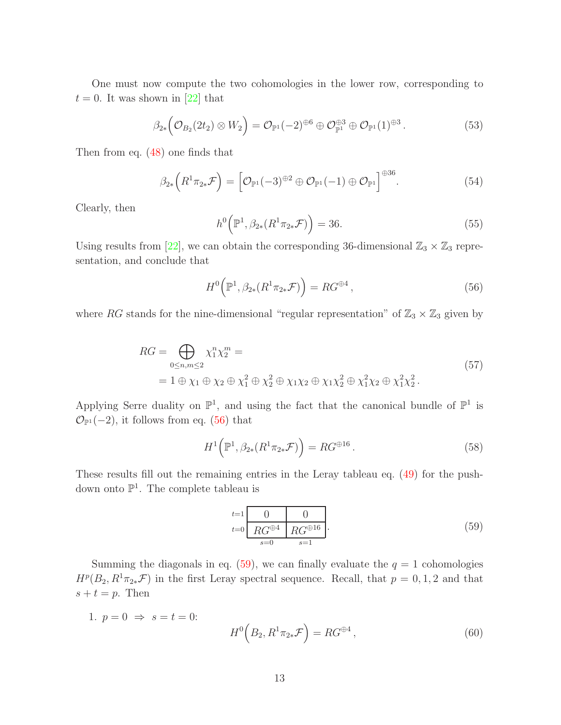One must now compute the two cohomologies in the lower row, corresponding to  $t = 0$ . It was shown in [\[22](#page-27-13)] that

$$
\beta_{2*} \left( \mathcal{O}_{B_2}(2t_2) \otimes W_2 \right) = \mathcal{O}_{\mathbb{P}^1}(-2)^{\oplus 6} \oplus \mathcal{O}_{\mathbb{P}^1}^{\oplus 3} \oplus \mathcal{O}_{\mathbb{P}^1}(1)^{\oplus 3}.
$$
 (53)

Then from eq. [\(48\)](#page-13-3) one finds that

<span id="page-14-0"></span>
$$
\beta_{2*}\left(R^1\pi_{2*}\mathcal{F}\right) = \left[\mathcal{O}_{\mathbb{P}^1}(-3)^{\oplus 2} \oplus \mathcal{O}_{\mathbb{P}^1}(-1) \oplus \mathcal{O}_{\mathbb{P}^1}\right]^{\oplus 36}.
$$
\n(54)

<span id="page-14-3"></span>Clearly, then

$$
h^{0}(\mathbb{P}^{1}, \beta_{2*}(R^{1}\pi_{2*}\mathcal{F})) = 36.
$$
 (55)

Using results from [\[22\]](#page-27-13), we can obtain the corresponding 36-dimensional  $\mathbb{Z}_3 \times \mathbb{Z}_3$  representation, and conclude that

$$
H^{0}\left(\mathbb{P}^{1},\beta_{2*}(R^{1}\pi_{2*}\mathcal{F})\right) = RG^{\oplus 4},\qquad(56)
$$

<span id="page-14-2"></span>where RG stands for the nine-dimensional "regular representation" of  $\mathbb{Z}_3 \times \mathbb{Z}_3$  given by

$$
RG = \bigoplus_{0 \le n,m \le 2} \chi_1^n \chi_2^m =
$$
  
= 1 \oplus \chi\_1 \oplus \chi\_2 \oplus \chi\_1^2 \oplus \chi\_2^2 \oplus \chi\_1 \chi\_2 \oplus \chi\_1 \chi\_2^2 \oplus \chi\_1^2 \chi\_2 \oplus \chi\_1^2 \chi\_2^2. (57)

Applying Serre duality on  $\mathbb{P}^1$ , and using the fact that the canonical bundle of  $\mathbb{P}^1$  is  $\mathcal{O}_{\mathbb{P}^1}(-2)$ , it follows from eq. [\(56\)](#page-14-0) that

<span id="page-14-1"></span>
$$
H^1\left(\mathbb{P}^1, \beta_{2*}(R^1\pi_{2*}\mathcal{F})\right) = RG^{\oplus 16}.
$$
\n
$$
(58)
$$

These results fill out the remaining entries in the Leray tableau eq. [\(49\)](#page-13-2) for the pushdown onto  $\mathbb{P}^1$ . The complete tableau is

$$
\begin{array}{c|c}\nt=1 & 0 & 0 \\
\hline\nR G^{\oplus 4} & R G^{\oplus 16} \\
s=0 & s=1\n\end{array}.
$$
\n(59)

Summing the diagonals in eq. [\(59\)](#page-14-1), we can finally evaluate the  $q = 1$  cohomologies  $H^p(B_2, R^1\pi_{2*}\mathcal{F})$  in the first Leray spectral sequence. Recall, that  $p=0,1,2$  and that  $s + t = p$ . Then

1. 
$$
p = 0 \Rightarrow s = t = 0:
$$
  
\n
$$
H^{0}(B_{2}, R^{1}\pi_{2*}\mathcal{F}) = RG^{\oplus 4},
$$
\n(60)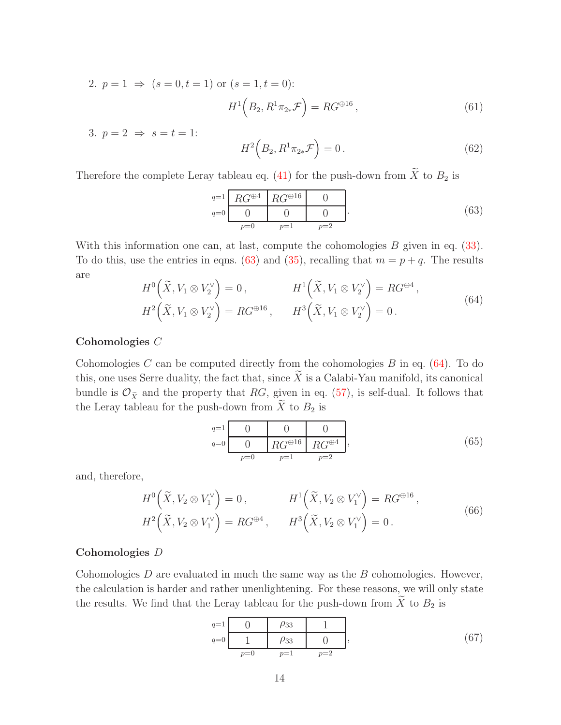2.  $p = 1 \Rightarrow (s = 0, t = 1)$  or  $(s = 1, t = 0)$ :

$$
H^1\left(B_2, R^1\pi_{2*}\mathcal{F}\right) = RG^{\oplus 16},\tag{61}
$$

3.  $p = 2 \Rightarrow s = t = 1$ :

<span id="page-15-0"></span>
$$
H^2\left(B_2, R^1\pi_{2*}\mathcal{F}\right) = 0.
$$
\n<sup>(62)</sup>

Therefore the complete Leray tableau eq. [\(41\)](#page-12-1) for the push-down from  $\widetilde{X}$  to  $B_2$  is

$$
q=1 \n\begin{array}{c|c}\nR G^{\oplus 4} & R G^{\oplus 16} & 0 \\
\hline\n0 & 0 & 0 \\
p=0 & p=1 & p=2\n\end{array} \n\tag{63}
$$

<span id="page-15-1"></span>With this information one can, at last, compute the cohomologies  $B$  given in eq.  $(33)$ . To do this, use the entries in eqns. [\(63\)](#page-15-0) and [\(35\)](#page-11-0), recalling that  $m = p + q$ . The results are

$$
H^{0}\left(\widetilde{X}, V_{1} \otimes V_{2}^{\vee}\right) = 0, \qquad H^{1}\left(\widetilde{X}, V_{1} \otimes V_{2}^{\vee}\right) = RG^{\oplus 4},
$$
  

$$
H^{2}\left(\widetilde{X}, V_{1} \otimes V_{2}^{\vee}\right) = RG^{\oplus 16}, \qquad H^{3}\left(\widetilde{X}, V_{1} \otimes V_{2}^{\vee}\right) = 0.
$$
 (64)

#### Cohomologies C

Cohomologies  $C$  can be computed directly from the cohomologies  $B$  in eq. [\(64\)](#page-15-1). To do this, one uses Serre duality, the fact that, since  $\widetilde{X}$  is a Calabi-Yau manifold, its canonical bundle is  $\mathcal{O}_{\tilde{X}}$  and the property that RG, given in eq. [\(57\)](#page-14-2), is self-dual. It follows that the Leray tableau for the push-down from  $\tilde{X}$  to  $B_2$  is

<span id="page-15-2"></span><sup>q</sup>=1 0 0 0 <sup>q</sup>=0 0 RG<sup>⊕</sup><sup>16</sup> RG<sup>⊕</sup><sup>4</sup> p=0 p=1 p=2 , (65)

and, therefore,

$$
H^{0}\left(\tilde{X}, V_{2} \otimes V_{1}^{\vee}\right) = 0, \qquad H^{1}\left(\tilde{X}, V_{2} \otimes V_{1}^{\vee}\right) = RG^{\oplus 16},
$$
  

$$
H^{2}\left(\tilde{X}, V_{2} \otimes V_{1}^{\vee}\right) = RG^{\oplus 4}, \qquad H^{3}\left(\tilde{X}, V_{2} \otimes V_{1}^{\vee}\right) = 0.
$$
 (66)

#### Cohomologies D

Cohomologies  $D$  are evaluated in much the same way as the  $B$  cohomologies. However, the calculation is harder and rather unenlightening. For these reasons, we will only state the results. We find that the Leray tableau for the push-down from  $\widetilde{X}$  to  $B_2$  is

<span id="page-15-3"></span>
$$
\begin{array}{c|ccccc}\n q=1 & 0 & \rho_{33} & 1 \\
\hline\n q=0 & 1 & \rho_{33} & 0 & \\
 p=0 & p=1 & p=2\n\end{array}
$$
\n(67)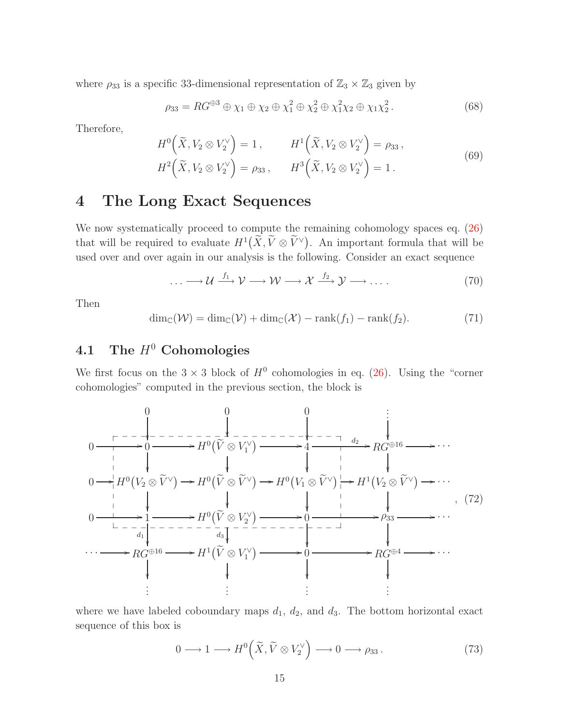where  $\rho_{33}$  is a specific 33-dimensional representation of  $\mathbb{Z}_3 \times \mathbb{Z}_3$  given by

<span id="page-16-4"></span>
$$
\rho_{33} = RG^{\oplus 3} \oplus \chi_1 \oplus \chi_2 \oplus \chi_1^2 \oplus \chi_2^2 \oplus \chi_1^2 \chi_2 \oplus \chi_1 \chi_2^2. \tag{68}
$$

Therefore,

$$
H^{0}\left(\widetilde{X}, V_{2} \otimes V_{2}^{\vee}\right) = 1, \qquad H^{1}\left(\widetilde{X}, V_{2} \otimes V_{2}^{\vee}\right) = \rho_{33},
$$
  

$$
H^{2}\left(\widetilde{X}, V_{2} \otimes V_{2}^{\vee}\right) = \rho_{33}, \qquad H^{3}\left(\widetilde{X}, V_{2} \otimes V_{2}^{\vee}\right) = 1.
$$
 (69)

## <span id="page-16-0"></span>4 The Long Exact Sequences

We now systematically proceed to compute the remaining cohomology spaces eq.  $(26)$ that will be required to evaluate  $H^1(\widetilde{X}, \widetilde{V} \otimes \widetilde{V}^{\vee})$ . An important formula that will be used over and over again in our analysis is the following. Consider an exact sequence

<span id="page-16-3"></span>
$$
\dots \longrightarrow \mathcal{U} \xrightarrow{f_1} \mathcal{V} \longrightarrow \mathcal{W} \longrightarrow \mathcal{X} \xrightarrow{f_2} \mathcal{Y} \longrightarrow \dots \tag{70}
$$

<span id="page-16-2"></span>Then

$$
\dim_{\mathbb{C}}(\mathcal{W}) = \dim_{\mathbb{C}}(\mathcal{V}) + \dim_{\mathbb{C}}(\mathcal{X}) - \text{rank}(f_1) - \text{rank}(f_2). \tag{71}
$$

# <span id="page-16-1"></span>4.1 The  $H^0$  Cohomologies

We first focus on the  $3 \times 3$  block of  $H^0$  cohomologies in eq. [\(26\)](#page-10-1). Using the "corner cohomologies" computed in the previous section, the block is

0 0 0 . . . 0 /0 /H<sup>0</sup> Ve ⊗ V ∨ 1 /4 <sup>d</sup><sup>2</sup> /RG<sup>⊕</sup><sup>16</sup> /· · · 0 /H<sup>0</sup> <sup>V</sup><sup>2</sup> <sup>⊗</sup> <sup>V</sup><sup>e</sup> <sup>∨</sup> /H<sup>0</sup> <sup>V</sup><sup>e</sup> <sup>⊗</sup> <sup>V</sup><sup>e</sup> <sup>∨</sup> /H<sup>0</sup> <sup>V</sup><sup>1</sup> <sup>⊗</sup> <sup>V</sup><sup>e</sup> <sup>∨</sup> /H<sup>1</sup> <sup>V</sup><sup>2</sup> <sup>⊗</sup> <sup>V</sup><sup>e</sup> <sup>∨</sup> /· · · 0 /1 d1 /H<sup>0</sup> Ve ⊗ V ∨ 2 d3 /0 /ρ<sup>33</sup> /· · · · · · /RG<sup>⊕</sup><sup>16</sup> /H<sup>1</sup> Ve ⊗ V ∨ 1 /0 /RG<sup>⊕</sup><sup>4</sup> /· · · . . . . . . . . . . . . \_ \_ \_ \_ \_ \_ \_ \_ \_ \_ \_ \_ \_ \_ \_ \_ \_ \_ \_ \_ \_ \_ \_ \_ \_ \_ \_ \_ \_ \_ \_ \_ \_ \_ \_ \_ \_ \_ \_ \_ \_ \_ \_ \_ \_ \_ \_ \_ \_ \_ , (72)

where we have labeled coboundary maps  $d_1$ ,  $d_2$ , and  $d_3$ . The bottom horizontal exact sequence of this box is

$$
0 \longrightarrow 1 \longrightarrow H^{0}\left(\widetilde{X}, \widetilde{V} \otimes V_{2}^{\vee}\right) \longrightarrow 0 \longrightarrow \rho_{33}.
$$
\n(73)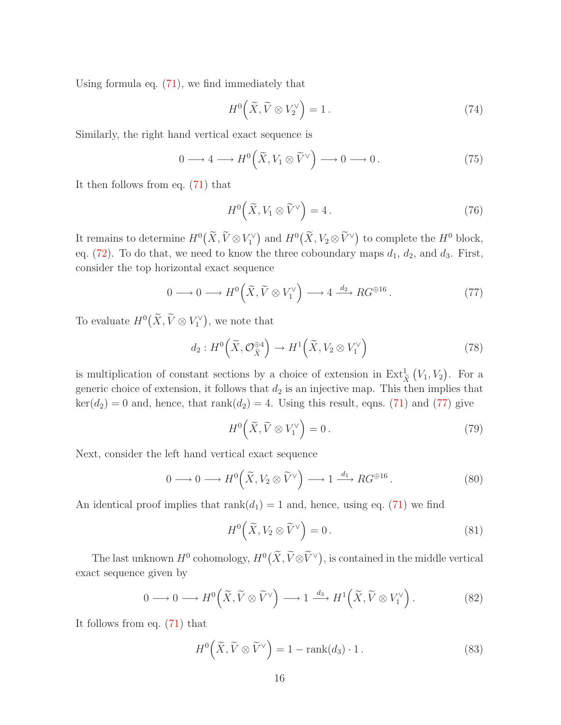Using formula eq. [\(71\)](#page-16-2), we find immediately that

$$
H^0\left(\widetilde{X}, \widetilde{V} \otimes V_2^{\vee}\right) = 1.
$$
 (74)

Similarly, the right hand vertical exact sequence is

$$
0 \longrightarrow 4 \longrightarrow H^0\left(\widetilde{X}, V_1 \otimes \widetilde{V}^{\vee}\right) \longrightarrow 0 \longrightarrow 0. \tag{75}
$$

It then follows from eq. [\(71\)](#page-16-2) that

<span id="page-17-0"></span>
$$
H^{0}\left(\widetilde{X}, V_{1} \otimes \widetilde{V}^{\vee}\right) = 4.
$$
\n(76)

It remains to determine  $H^0(\widetilde{X}, \widetilde{V} \otimes V_1^{\vee})$  and  $H^0(\widetilde{X}, V_2 \otimes \widetilde{V}^{\vee})$  to complete the  $H^0$  block, eq. [\(72\)](#page-16-3). To do that, we need to know the three coboundary maps  $d_1, d_2$ , and  $d_3$ . First, consider the top horizontal exact sequence

$$
0 \longrightarrow 0 \longrightarrow H^{0}\left(\widetilde{X}, \widetilde{V} \otimes V_{1}^{\vee}\right) \longrightarrow 4 \stackrel{d_{2}}{\longrightarrow} RG^{\oplus 16}.
$$
 (77)

To evaluate  $H^0(\widetilde{X}, \widetilde{V} \otimes V_1^{\vee})$ , we note that

$$
d_2: H^0\left(\widetilde{X}, \mathcal{O}_{\widetilde{X}}^{\oplus 4}\right) \to H^1\left(\widetilde{X}, V_2 \otimes V_1^{\vee}\right) \tag{78}
$$

is multiplication of constant sections by a choice of extension in  $\operatorname{Ext}^1_{\widetilde{X}}$  $(V_1, V_2)$ . For a generic choice of extension, it follows that  $d_2$  is an injective map. This then implies that  $\ker(d_2) = 0$  and, hence, that  $rank(d_2) = 4$ . Using this result, eqns. [\(71\)](#page-16-2) and [\(77\)](#page-17-0) give

$$
H^0\left(\widetilde{X}, \widetilde{V} \otimes V_1^{\vee}\right) = 0. \tag{79}
$$

Next, consider the left hand vertical exact sequence

$$
0 \longrightarrow 0 \longrightarrow H^{0}\left(\widetilde{X}, V_{2} \otimes \widetilde{V}^{\vee}\right) \longrightarrow 1 \stackrel{d_{1}}{\longrightarrow} RG^{\oplus 16}.
$$
 (80)

An identical proof implies that  $rank(d_1) = 1$  and, hence, using eq. [\(71\)](#page-16-2) we find

$$
H^{0}\left(\widetilde{X}, V_{2} \otimes \widetilde{V}^{\vee}\right) = 0.
$$
\n(81)

The last unknown  $H^0$  cohomology,  $H^0(\widetilde{X}, \widetilde{V} \otimes \widetilde{V}^{\vee})$ , is contained in the middle vertical exact sequence given by

<span id="page-17-1"></span>
$$
0 \longrightarrow 0 \longrightarrow H^{0}\left(\widetilde{X}, \widetilde{V} \otimes \widetilde{V}^{\vee}\right) \longrightarrow 1 \xrightarrow{d_{3}} H^{1}\left(\widetilde{X}, \widetilde{V} \otimes V_{1}^{\vee}\right).
$$
 (82)

It follows from eq. [\(71\)](#page-16-2) that

$$
H^{0}\left(\widetilde{X},\widetilde{V}\otimes\widetilde{V}^{\vee}\right)=1-\mathrm{rank}(d_{3})\cdot 1.
$$
\n(83)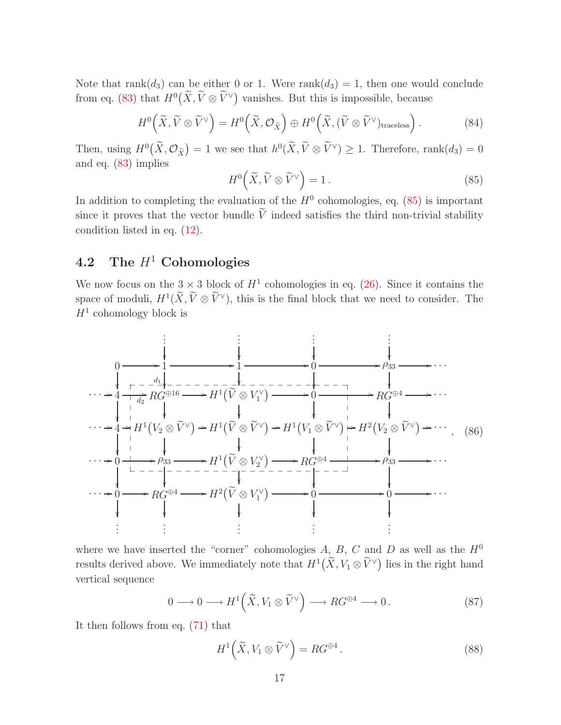Note that rank $(d_3)$  can be either 0 or 1. Were rank $(d_3) = 1$ , then one would conclude from eq. [\(83\)](#page-17-1) that  $H^0(\widetilde{X}, \widetilde{V} \otimes \widetilde{V}^{\vee})$  vanishes. But this is impossible, because

$$
H^{0}\left(\widetilde{X},\widetilde{V}\otimes\widetilde{V}^{\vee}\right)=H^{0}\left(\widetilde{X},\mathcal{O}_{\widetilde{X}}\right)\oplus H^{0}\left(\widetilde{X},(\widetilde{V}\otimes\widetilde{V}^{\vee})_{\text{traceless}}\right).
$$
 (84)

<span id="page-18-1"></span>Then, using  $H^0(\tilde{X}, \mathcal{O}_{\tilde{X}}) = 1$  we see that  $h^0(\tilde{X}, \tilde{V} \otimes \tilde{V}^{\vee}) \geq 1$ . Therefore, rank $(d_3) = 0$ and eq. [\(83\)](#page-17-1) implies

$$
H^0\left(\widetilde{X}, \widetilde{V} \otimes \widetilde{V}^{\vee}\right) = 1.
$$
\n(85)

In addition to completing the evaluation of the  $H^0$  cohomologies, eq. [\(85\)](#page-18-1) is important since it proves that the vector bundle  $\tilde{V}$  indeed satisfies the third non-trivial stability condition listed in eq. [\(12\)](#page-6-3).

### <span id="page-18-0"></span>4.2 The  $H^1$  Cohomologies

We now focus on the  $3 \times 3$  block of  $H^1$  cohomologies in eq. [\(26\)](#page-10-1). Since it contains the space of moduli,  $H^1(\tilde{X}, \tilde{V} \otimes \tilde{V}^{\vee})$ , this is the final block that we need to consider. The  $H^1$  cohomology block is



where we have inserted the "corner" cohomologies  $A, B, C$  and  $D$  as well as the  $H^0$ results derived above. We immediately note that  $H^1(\widetilde{X}, V_1 \otimes \widetilde{V}^{\vee})$  lies in the right hand vertical sequence

$$
0 \longrightarrow 0 \longrightarrow H^{1}(\widetilde{X}, V_{1} \otimes \widetilde{V}^{\vee}) \longrightarrow RG^{\oplus 4} \longrightarrow 0.
$$
 (87)

It then follows from eq. [\(71\)](#page-16-2) that

$$
H^{1}\left(\widetilde{X}, V_{1} \otimes \widetilde{V}^{\vee}\right) = RG^{\oplus 4}.
$$
\n(88)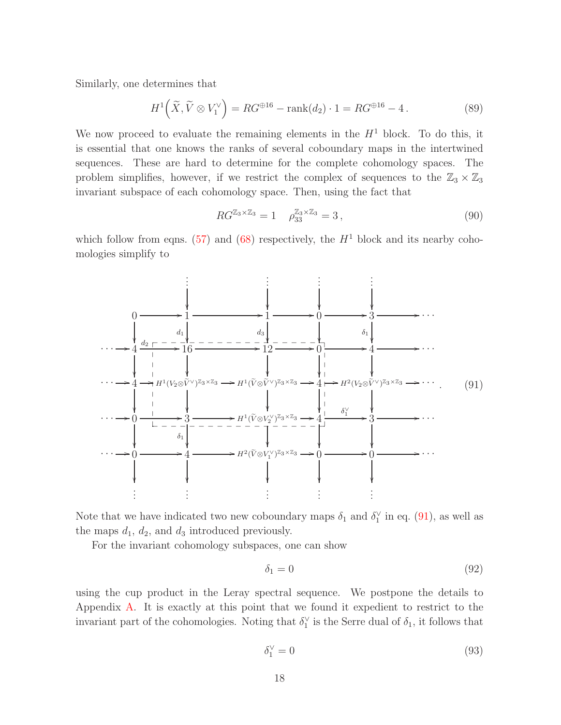Similarly, one determines that

$$
H^{1}\left(\widetilde{X}, \widetilde{V} \otimes V_{1}^{\vee}\right) = RG^{\oplus 16} - \text{rank}(d_{2}) \cdot 1 = RG^{\oplus 16} - 4. \tag{89}
$$

We now proceed to evaluate the remaining elements in the  $H<sup>1</sup>$  block. To do this, it is essential that one knows the ranks of several coboundary maps in the intertwined sequences. These are hard to determine for the complete cohomology spaces. The problem simplifies, however, if we restrict the complex of sequences to the  $\mathbb{Z}_3 \times \mathbb{Z}_3$ invariant subspace of each cohomology space. Then, using the fact that

<span id="page-19-3"></span>
$$
RG^{\mathbb{Z}_3 \times \mathbb{Z}_3} = 1 \quad \rho_{33}^{\mathbb{Z}_3 \times \mathbb{Z}_3} = 3 \,, \tag{90}
$$

<span id="page-19-0"></span>which follow from eqns. [\(57\)](#page-14-2) and [\(68\)](#page-16-4) respectively, the  $H<sup>1</sup>$  block and its nearby cohomologies simplify to



Note that we have indicated two new coboundary maps  $\delta_1$  and  $\delta_1^{\vee}$  in eq. [\(91\)](#page-19-0), as well as the maps  $d_1$ ,  $d_2$ , and  $d_3$  introduced previously.

For the invariant cohomology subspaces, one can show

<span id="page-19-1"></span>
$$
\delta_1 = 0 \tag{92}
$$

<span id="page-19-2"></span>using the cup product in the Leray spectral sequence. We postpone the details to Appendix [A.](#page-24-0) It is exactly at this point that we found it expedient to restrict to the invariant part of the cohomologies. Noting that  $\delta_1^{\vee}$  is the Serre dual of  $\delta_1$ , it follows that

$$
\delta_1^{\vee} = 0 \tag{93}
$$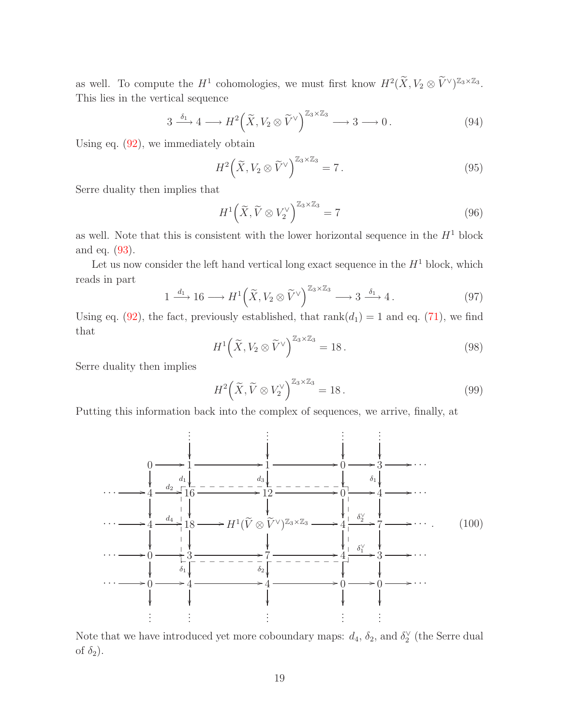as well. To compute the  $H^1$  cohomologies, we must first know  $H^2(\widetilde{X}, V_2 \otimes \widetilde{V}^{\vee})^{\mathbb{Z}_3 \times \mathbb{Z}_3}$ . This lies in the vertical sequence

$$
3 \xrightarrow{\delta_1} 4 \longrightarrow H^2\Big(\widetilde{X}, V_2 \otimes \widetilde{V}^{\vee}\Big)^{\mathbb{Z}_3 \times \mathbb{Z}_3} \longrightarrow 3 \longrightarrow 0.
$$
 (94)

Using eq.  $(92)$ , we immediately obtain

$$
H^2\left(\widetilde{X}, V_2 \otimes \widetilde{V}^{\vee}\right)^{\mathbb{Z}_3 \times \mathbb{Z}_3} = 7.
$$
\n(95)

Serre duality then implies that

$$
H^1\left(\widetilde{X}, \widetilde{V} \otimes V_2^{\vee}\right)^{\mathbb{Z}_3 \times \mathbb{Z}_3} = 7\tag{96}
$$

as well. Note that this is consistent with the lower horizontal sequence in the  $H<sup>1</sup>$  block and eq. [\(93\)](#page-19-2).

Let us now consider the left hand vertical long exact sequence in the  $H^1$  block, which reads in part

$$
1 \xrightarrow{d_1} 16 \longrightarrow H^1\left(\widetilde{X}, V_2 \otimes \widetilde{V}^{\vee}\right)^{\mathbb{Z}_3 \times \mathbb{Z}_3} \longrightarrow 3 \xrightarrow{\delta_1} 4. \tag{97}
$$

Using eq. [\(92\)](#page-19-1), the fact, previously established, that  $rank(d_1) = 1$  and eq. [\(71\)](#page-16-2), we find that

$$
H^{1}\left(\widetilde{X}, V_{2} \otimes \widetilde{V}^{\vee}\right)^{\mathbb{Z}_{3} \times \mathbb{Z}_{3}} = 18.
$$
\n(98)

Serre duality then implies

<span id="page-20-0"></span>
$$
H^2\left(\widetilde{X}, \widetilde{V} \otimes V_2^{\vee}\right)^{\mathbb{Z}_3 \times \mathbb{Z}_3} = 18. \tag{99}
$$

Putting this information back into the complex of sequences, we arrive, finally, at



Note that we have introduced yet more coboundary maps:  $d_4$ ,  $\delta_2$ , and  $\delta_2^{\vee}$  (the Serre dual of  $\delta_2$ ).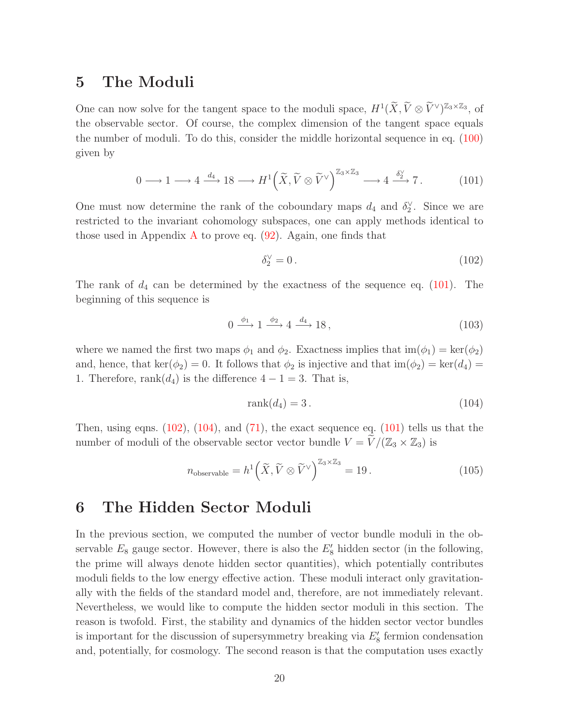# <span id="page-21-0"></span>5 The Moduli

<span id="page-21-2"></span>One can now solve for the tangent space to the moduli space,  $H^1(\widetilde{X}, \widetilde{V} \otimes \widetilde{V}^{\vee})^{\mathbb{Z}_3 \times \mathbb{Z}_3}$ , of the observable sector. Of course, the complex dimension of the tangent space equals the number of moduli. To do this, consider the middle horizontal sequence in eq. [\(100\)](#page-20-0) given by

$$
0 \longrightarrow 1 \longrightarrow 4 \xrightarrow{d_4} 18 \longrightarrow H^1\left(\widetilde{X}, \widetilde{V} \otimes \widetilde{V}^{\vee}\right)^{\mathbb{Z}_3 \times \mathbb{Z}_3} \longrightarrow 4 \xrightarrow{\delta_2^{\vee}} 7. \tag{101}
$$

One must now determine the rank of the coboundary maps  $d_4$  and  $\delta_2^{\vee}$ . Since we are restricted to the invariant cohomology subspaces, one can apply methods identical to those used in [A](#page-24-0)ppendix A to prove eq.  $(92)$ . Again, one finds that

<span id="page-21-3"></span>
$$
\delta_2^{\vee} = 0. \tag{102}
$$

The rank of  $d_4$  can be determined by the exactness of the sequence eq. [\(101\)](#page-21-2). The beginning of this sequence is

$$
0 \xrightarrow{\phi_1} 1 \xrightarrow{\phi_2} 4 \xrightarrow{d_4} 18,
$$
\n
$$
(103)
$$

where we named the first two maps  $\phi_1$  and  $\phi_2$ . Exactness implies that  $\text{im}(\phi_1) = \text{ker}(\phi_2)$ and, hence, that ker( $\phi_2$ ) = 0. It follows that  $\phi_2$  is injective and that im( $\phi_2$ ) = ker( $d_4$ ) = 1. Therefore, rank $(d_4)$  is the difference  $4-1=3$ . That is,

<span id="page-21-4"></span>
$$
rank(d_4) = 3.
$$
\n<sup>(104)</sup>

Then, using eqns.  $(102)$ ,  $(104)$ , and  $(71)$ , the exact sequence eq.  $(101)$  tells us that the number of moduli of the observable sector vector bundle  $V = V/(\mathbb{Z}_3 \times \mathbb{Z}_3)$  is

$$
n_{\text{observable}} = h^1 \left( \widetilde{X}, \widetilde{V} \otimes \widetilde{V}^{\vee} \right)^{\mathbb{Z}_3 \times \mathbb{Z}_3} = 19. \tag{105}
$$

# <span id="page-21-1"></span>6 The Hidden Sector Moduli

In the previous section, we computed the number of vector bundle moduli in the observable  $E_8$  gauge sector. However, there is also the  $E'_8$  hidden sector (in the following, the prime will always denote hidden sector quantities), which potentially contributes moduli fields to the low energy effective action. These moduli interact only gravitationally with the fields of the standard model and, therefore, are not immediately relevant. Nevertheless, we would like to compute the hidden sector moduli in this section. The reason is twofold. First, the stability and dynamics of the hidden sector vector bundles is important for the discussion of supersymmetry breaking via  $E'_{8}$  fermion condensation and, potentially, for cosmology. The second reason is that the computation uses exactly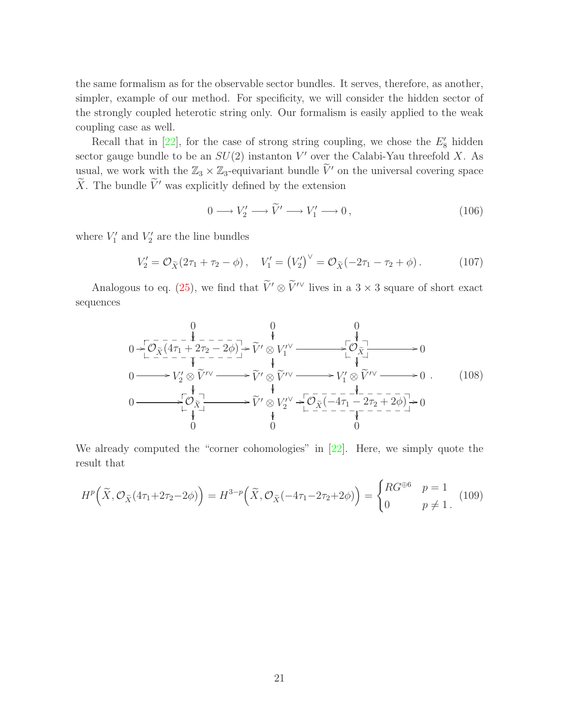the same formalism as for the observable sector bundles. It serves, therefore, as another, simpler, example of our method. For specificity, we will consider the hidden sector of the strongly coupled heterotic string only. Our formalism is easily applied to the weak coupling case as well.

Recall that in  $[22]$ , for the case of strong string coupling, we chose the  $E'_{8}$  hidden sector gauge bundle to be an  $SU(2)$  instanton V' over the Calabi-Yau threefold X. As usual, we work with the  $\mathbb{Z}_3 \times \mathbb{Z}_3$ -equivariant bundle  $\widetilde{V}'$  on the universal covering space  $\widetilde{X}$ . The bundle  $\widetilde{V}'$  was explicitly defined by the extension

$$
0 \longrightarrow V_2' \longrightarrow \widetilde{V}' \longrightarrow V_1' \longrightarrow 0, \qquad (106)
$$

where  $V_1'$  and  $V_2'$  are the line bundles

$$
V_2' = \mathcal{O}_{\tilde{X}}(2\tau_1 + \tau_2 - \phi), \quad V_1' = (V_2')^{\vee} = \mathcal{O}_{\tilde{X}}(-2\tau_1 - \tau_2 + \phi). \tag{107}
$$

<span id="page-22-0"></span>Analogous to eq. [\(25\)](#page-9-1), we find that  $\widetilde{V}' \otimes \widetilde{V}'^{\vee}$  lives in a 3 × 3 square of short exact sequences

$$
0 \rightarrow \begin{array}{ccc}\n & 0 & 0 & 0 \\
\hline\n\left(\frac{\partial}{\partial x} \left(4\tau_{1} + 2\tau_{2} - 2\phi\right)\right) & \sqrt{\left(\frac{\partial}{\partial x} \right)} \\
0 & \rightarrow V_{2}^{\prime} \otimes \tilde{V}^{\prime} \vee \longrightarrow \tilde{V}^{\prime} \otimes \tilde{V}^{\prime} \vee \longrightarrow V_{1}^{\prime} \otimes \tilde{V}^{\prime} \vee \longrightarrow 0 \\
0 & \rightarrow V_{2}^{\prime} \otimes \tilde{V}^{\prime} \vee \longrightarrow \tilde{V}^{\prime} \otimes \tilde{V}^{\prime} \vee \longrightarrow V_{1}^{\prime} \otimes \tilde{V}^{\prime} \vee \longrightarrow 0 \\
0 & \rightarrow \begin{bmatrix}\n\downarrow & \downarrow & \downarrow & \downarrow & \downarrow & \downarrow & \downarrow & \downarrow & \downarrow & \downarrow & \downarrow & \downarrow & \downarrow & \downarrow & \downarrow & \downarrow & \downarrow & \downarrow & \downarrow & \downarrow & \downarrow & \downarrow & \downarrow & \downarrow & \downarrow & \downarrow & \downarrow & \downarrow & \downarrow & \downarrow & \downarrow & \downarrow & \downarrow & \downarrow & \downarrow & \downarrow & \downarrow & \downarrow & \downarrow & \downarrow & \downarrow & \downarrow & \downarrow & \downarrow & \downarrow & \downarrow & \downarrow & \downarrow & \downarrow & \downarrow & \downarrow & \downarrow & \downarrow & \downarrow & \downarrow & \downarrow & \downarrow & \downarrow & \downarrow & \downarrow & \downarrow & \downarrow & \downarrow & \downarrow & \downarrow & \downarrow & \downarrow & \downarrow & \downarrow & \downarrow & \downarrow & \downarrow & \downarrow & \downarrow & \downarrow & \downarrow & \downarrow & \downarrow & \downarrow & \downarrow &
$$

We already computed the "corner cohomologies" in [\[22](#page-27-13)]. Here, we simply quote the result that

$$
H^p\left(\widetilde{X}, \mathcal{O}_{\widetilde{X}}(4\tau_1 + 2\tau_2 - 2\phi)\right) = H^{3-p}\left(\widetilde{X}, \mathcal{O}_{\widetilde{X}}(-4\tau_1 - 2\tau_2 + 2\phi)\right) = \begin{cases} RG^{\oplus 6} & p = 1\\ 0 & p \neq 1 \end{cases} \tag{109}
$$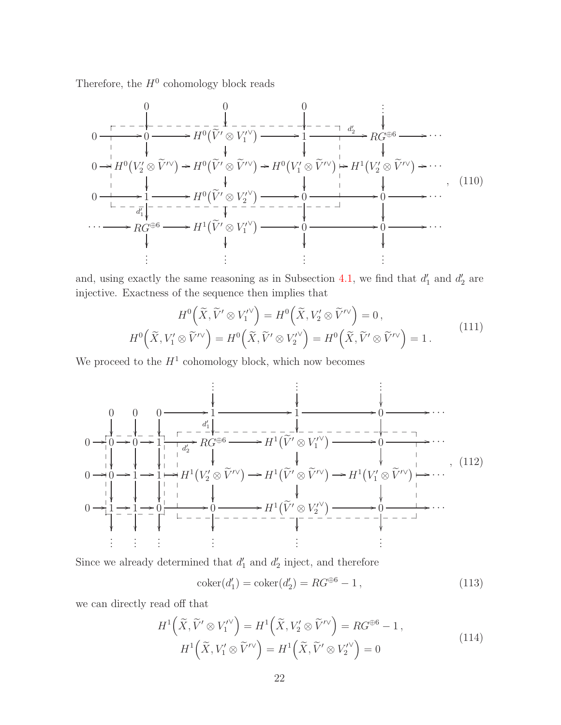Therefore, the  $H^0$  cohomology block reads

$$
0 \xrightarrow{\Gamma \to -\rightarrow} 0 \xrightarrow{\Gamma \to 0} H^0(\overline{V}' \otimes V_1^{\prime \vee}) \xrightarrow{\Gamma \to -\rightarrow} 1 \xrightarrow{\Gamma \to -\rightarrow} R G^{\oplus 6} \longrightarrow \cdots
$$
  
\n
$$
0 \xrightarrow{\vdash} H^0(V_2^{\prime} \otimes \widetilde{V}^{\prime \vee}) \xrightarrow{\vdash} H^0(\widetilde{V}' \otimes \widetilde{V}^{\prime \vee}) \xrightarrow{\vdash} H^0(V_1^{\prime} \otimes \widetilde{V}^{\prime \vee}) \xrightarrow{\vdash} H^1(V_2^{\prime} \otimes \widetilde{V}^{\prime \vee}) \xrightarrow{\vdash} \cdots
$$
  
\n
$$
0 \xrightarrow{\vdash} 1 \xrightarrow{\vdash} H^0(\widetilde{V}' \otimes V_2^{\prime \vee}) \xrightarrow{\vdash} 0 \xrightarrow{\vdash} H^1(V_2^{\prime} \otimes \widetilde{V}^{\prime \vee}) \xrightarrow{\vdash} \cdots
$$
  
\n
$$
\cdots \xrightarrow{\vdash} R G^{\oplus 6} \xrightarrow{\vdash} H^1(\widetilde{V}' \otimes V_1^{\prime \vee}) \xrightarrow{\vdash} 0 \xrightarrow{\vdash} 0 \xrightarrow{\vdash} \cdots
$$
  
\n
$$
\vdots \qquad \vdots \qquad \vdots \qquad \vdots \qquad \vdots
$$
  
\n(110)

and, using exactly the same reasoning as in Subsection [4.1,](#page-16-1) we find that  $d'_1$  and  $d'_2$  are injective. Exactness of the sequence then implies that

<span id="page-23-0"></span>
$$
H^{0}\left(\tilde{X}, \tilde{V}' \otimes V_{1}'^{\vee}\right) = H^{0}\left(\tilde{X}, V_{2}' \otimes \tilde{V}'^{\vee}\right) = 0,
$$
  

$$
H^{0}\left(\tilde{X}, V_{1}' \otimes \tilde{V}'^{\vee}\right) = H^{0}\left(\tilde{X}, \tilde{V}' \otimes V_{2}'^{\vee}\right) = H^{0}\left(\tilde{X}, \tilde{V}' \otimes \tilde{V}'^{\vee}\right) = 1.
$$
 (111)

We proceed to the  $H^1$  cohomology block, which now becomes

. . . . . . . . . 0 0 0 /1 d ′ 1 /1 /0 /· · · 0 /0 / 0 / 1 d ′ 2 /RG<sup>⊕</sup><sup>6</sup> /H<sup>1</sup> <sup>V</sup>e′ <sup>⊗</sup> <sup>V</sup> ′ 1 ∨ /0 /· · · 0 /0 / 1 / 1 / H<sup>1</sup> V ′ <sup>2</sup> <sup>⊗</sup> <sup>V</sup>e′∨ /H<sup>1</sup> <sup>V</sup>e′ <sup>⊗</sup> <sup>V</sup>e′∨ /H<sup>1</sup> V ′ <sup>1</sup> <sup>⊗</sup> <sup>V</sup>e′∨ /· · · 0 /1 / 1 / 0 / 0 /H<sup>1</sup> <sup>V</sup>e′ <sup>⊗</sup> <sup>V</sup> ′ 2 ∨ /0 /· · · . . . . . . . . . . . . . . . . . . \_ \_ \_ \_ \_ \_ \_ \_ \_ \_ \_ \_ \_ \_ \_ \_ \_ \_ \_ \_ \_ \_ \_ \_ \_ \_ \_ \_ \_ \_ \_ \_ \_ \_ \_ \_ \_ \_ \_ \_ \_ \_ \_ \_ \_ \_ \_ \_ \_ \_ \_ \_ \_ \_ \_ \_ \_ \_ \_ \_ \_ \_ \_ \_ , (112)

Since we already determined that  $d'_1$  and  $d'_2$  inject, and therefore

$$
coker(d'_1) = coker(d'_2) = RG^{\oplus 6} - 1,
$$
\n(113)

we can directly read off that

$$
H^{1}\left(\widetilde{X},\widetilde{V}'\otimes V_{1}^{\prime\vee}\right) = H^{1}\left(\widetilde{X},V_{2}'\otimes\widetilde{V}^{\prime\vee}\right) = RG^{\oplus 6} - 1,
$$
  

$$
H^{1}\left(\widetilde{X},V_{1}'\otimes\widetilde{V}^{\prime\vee}\right) = H^{1}\left(\widetilde{X},\widetilde{V}'\otimes V_{2}^{\prime\vee}\right) = 0
$$
 (114)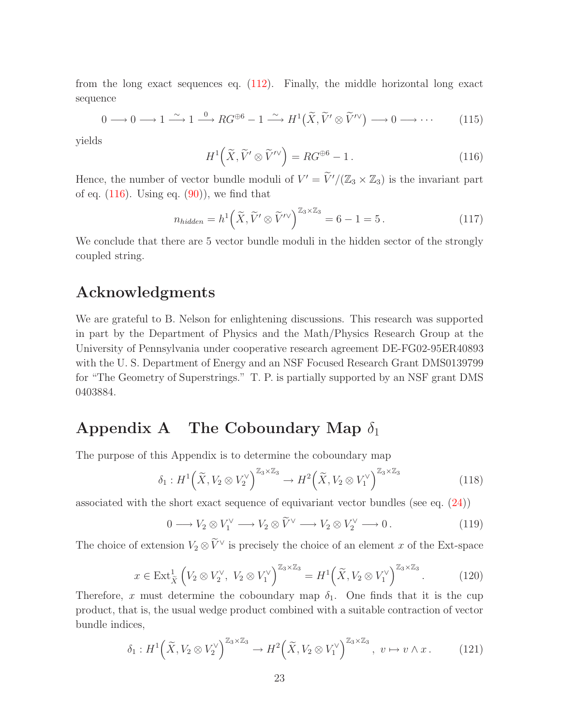from the long exact sequences eq. [\(112\)](#page-23-0). Finally, the middle horizontal long exact sequence

$$
0 \longrightarrow 0 \longrightarrow 1 \stackrel{\sim}{\longrightarrow} 1 \stackrel{0}{\longrightarrow} RG^{\oplus 6} - 1 \stackrel{\sim}{\longrightarrow} H^1(\widetilde{X}, \widetilde{V}' \otimes \widetilde{V}'') \longrightarrow 0 \longrightarrow \cdots \qquad (115)
$$

<span id="page-24-1"></span>yields

$$
H^{1}\left(\widetilde{X},\widetilde{V}'\otimes\widetilde{V}'^{\vee}\right) = RG^{\oplus 6} - 1.
$$
 (116)

Hence, the number of vector bundle moduli of  $V' = \tilde{V}'/(\mathbb{Z}_3 \times \mathbb{Z}_3)$  is the invariant part of eq.  $(116)$ . Using eq.  $(90)$ , we find that

$$
n_{hidden} = h^1\left(\widetilde{X}, \widetilde{V}' \otimes \widetilde{V}'^{\vee}\right)^{\mathbb{Z}_3 \times \mathbb{Z}_3} = 6 - 1 = 5.
$$
 (117)

We conclude that there are 5 vector bundle moduli in the hidden sector of the strongly coupled string.

### Acknowledgments

We are grateful to B. Nelson for enlightening discussions. This research was supported in part by the Department of Physics and the Math/Physics Research Group at the University of Pennsylvania under cooperative research agreement DE-FG02-95ER40893 with the U. S. Department of Energy and an NSF Focused Research Grant DMS0139799 for "The Geometry of Superstrings." T. P. is partially supported by an NSF grant DMS 0403884.

## <span id="page-24-0"></span>Appendix A The Coboundary Map  $\delta_1$

The purpose of this Appendix is to determine the coboundary map

$$
\delta_1: H^1\left(\widetilde{X}, V_2 \otimes V_2^{\vee}\right)^{\mathbb{Z}_3 \times \mathbb{Z}_3} \to H^2\left(\widetilde{X}, V_2 \otimes V_1^{\vee}\right)^{\mathbb{Z}_3 \times \mathbb{Z}_3} \tag{118}
$$

associated with the short exact sequence of equivariant vector bundles (see eq. [\(24\)](#page-9-2))

$$
0 \longrightarrow V_2 \otimes V_1^{\vee} \longrightarrow V_2 \otimes \widetilde{V}^{\vee} \longrightarrow V_2 \otimes V_2^{\vee} \longrightarrow 0.
$$
 (119)

The choice of extension  $V_2 \otimes V^{\vee}$  is precisely the choice of an element x of the Ext-space

$$
x \in \text{Ext}_{\tilde{X}}^{1}\left(V_{2} \otimes V_{2}^{\vee}, V_{2} \otimes V_{1}^{\vee}\right)^{\mathbb{Z}_{3} \times \mathbb{Z}_{3}} = H^{1}\left(\tilde{X}, V_{2} \otimes V_{1}^{\vee}\right)^{\mathbb{Z}_{3} \times \mathbb{Z}_{3}}.
$$
 (120)

Therefore, x must determine the coboundary map  $\delta_1$ . One finds that it is the cup product, that is, the usual wedge product combined with a suitable contraction of vector bundle indices,

$$
\delta_1: H^1\Big(\widetilde{X}, V_2 \otimes V_2^{\vee}\Big)^{\mathbb{Z}_3 \times \mathbb{Z}_3} \to H^2\Big(\widetilde{X}, V_2 \otimes V_1^{\vee}\Big)^{\mathbb{Z}_3 \times \mathbb{Z}_3}, \ v \mapsto v \wedge x. \qquad (121)
$$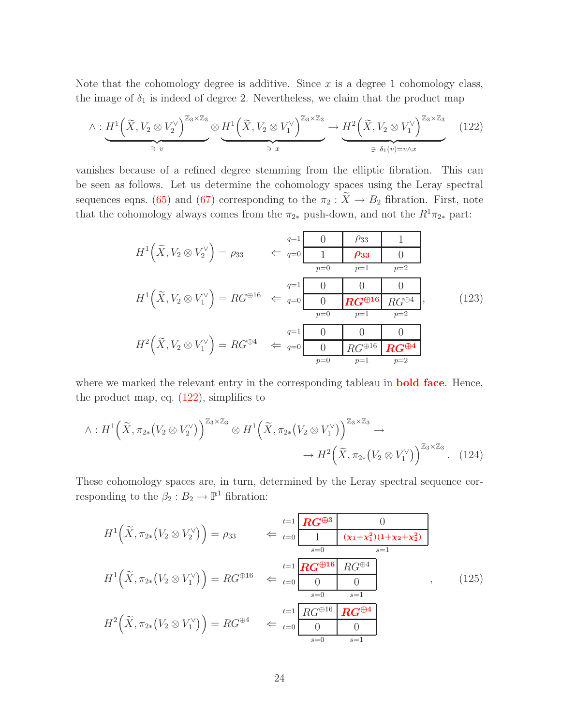Note that the cohomology degree is additive. Since  $x$  is a degree 1 cohomology class, the image of  $\delta_1$  is indeed of degree 2. Nevertheless, we claim that the product map

$$
\wedge: \underbrace{H^1\left(\widetilde{X}, V_2 \otimes V_2^{\vee}\right)^{\mathbb{Z}_3 \times \mathbb{Z}_3}}_{\ni v} \otimes \underbrace{H^1\left(\widetilde{X}, V_2 \otimes V_1^{\vee}\right)^{\mathbb{Z}_3 \times \mathbb{Z}_3}}_{\ni x} \to \underbrace{H^2\left(\widetilde{X}, V_2 \otimes V_1^{\vee}\right)^{\mathbb{Z}_3 \times \mathbb{Z}_3}}_{\ni \delta_1(v) = v \wedge x} \qquad (122)
$$

vanishes because of a refined degree stemming from the elliptic fibration. This can be seen as follows. Let us determine the cohomology spaces using the Leray spectral sequences eqns. [\(65\)](#page-15-2) and [\(67\)](#page-15-3) corresponding to the  $\pi_2 : \widetilde{X} \to B_2$  fibration. First, note that the cohomology always comes from the  $\pi_{2*}$  push-down, and not the  $R^1\pi_{2*}$  part:

<span id="page-25-0"></span>H 1 X, V e <sup>2</sup> ⊗ V ∨ 2 = ρ<sup>33</sup> ⇐ <sup>q</sup>=1 0 ρ<sup>33</sup> 1 <sup>q</sup>=0 1 ρ<sup>33</sup> 0 p=0 p=1 p=2 H 1 X, V e <sup>2</sup> ⊗ V ∨ 1 = RG<sup>⊕</sup><sup>16</sup> ⇐ <sup>q</sup>=1 0 0 0 <sup>q</sup>=0 0 RG<sup>⊕</sup><sup>16</sup> RG<sup>⊕</sup><sup>4</sup> p=0 p=1 p=2 H 2 X, V e <sup>2</sup> ⊗ V ∨ 1 = RG<sup>⊕</sup><sup>4</sup> ⇐ <sup>q</sup>=1 0 0 0 <sup>q</sup>=0 0 RG<sup>⊕</sup><sup>16</sup> RG<sup>⊕</sup><sup>4</sup> p=0 p=1 p=2 , (123)

where we marked the relevant entry in the corresponding tableau in **bold face**. Hence, the product map, eq.  $(122)$ , simplifies to

$$
\wedge: H^1\Big(\widetilde{X}, \pi_{2*}\big(V_2 \otimes V_2^{\vee}\big)\Big)^{\mathbb{Z}_3 \times \mathbb{Z}_3} \otimes H^1\Big(\widetilde{X}, \pi_{2*}\big(V_2 \otimes V_1^{\vee}\big)\Big)^{\mathbb{Z}_3 \times \mathbb{Z}_3} \to H^2\Big(\widetilde{X}, \pi_{2*}\big(V_2 \otimes V_1^{\vee}\big)\Big)^{\mathbb{Z}_3 \times \mathbb{Z}_3}. \tag{124}
$$

These cohomology spaces are, in turn, determined by the Leray spectral sequence corresponding to the  $\beta_2 : B_2 \to \mathbb{P}^1$  fibration:

<span id="page-25-1"></span>
$$
H^{1}\left(\tilde{X}, \pi_{2*}(V_{2} \otimes V_{2}^{\vee})\right) = \rho_{33} \qquad \Leftarrow \frac{t=1}{t=0} \frac{\mathbf{R}G^{\oplus 3}}{1} \frac{0}{(\mathbf{x}_{1} + \mathbf{x}_{1}^{2})(1 + \mathbf{x}_{2} + \mathbf{x}_{2}^{2})}
$$

$$
H^{1}\left(\tilde{X}, \pi_{2*}(V_{2} \otimes V_{1}^{\vee})\right) = RG^{\oplus 16} \qquad \Leftarrow \frac{t=1}{t=0} \frac{\mathbf{R}G^{\oplus 16}}{0} \frac{RG^{\oplus 4}}{0} \qquad , \qquad (125)
$$

$$
H^{2}\left(\tilde{X}, \pi_{2*}(V_{2} \otimes V_{1}^{\vee})\right) = RG^{\oplus 4} \qquad \Leftarrow \frac{t=1}{t=0} \frac{RG^{\oplus 16}}{0} \frac{\mathbf{R}G^{\oplus 4}}{0} \qquad , \qquad (125)
$$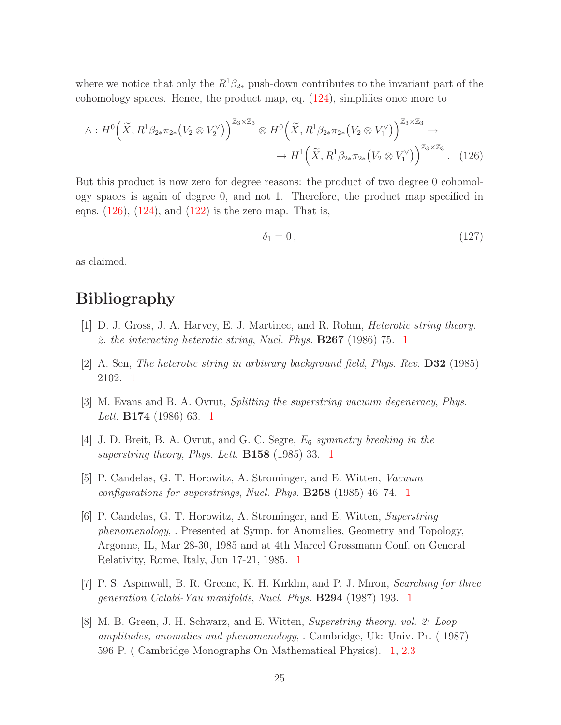where we notice that only the  $R^1\beta_{2*}$  push-down contributes to the invariant part of the cohomology spaces. Hence, the product map, eq. [\(124\)](#page-25-1), simplifies once more to

$$
\wedge: H^{0}\left(\widetilde{X}, R^{1}\beta_{2*}\pi_{2*}\left(V_{2}\otimes V_{2}^{\vee}\right)\right)^{\mathbb{Z}_{3}\times\mathbb{Z}_{3}}\otimes H^{0}\left(\widetilde{X}, R^{1}\beta_{2*}\pi_{2*}\left(V_{2}\otimes V_{1}^{\vee}\right)\right)^{\mathbb{Z}_{3}\times\mathbb{Z}_{3}}\to \\
\to H^{1}\left(\widetilde{X}, R^{1}\beta_{2*}\pi_{2*}\left(V_{2}\otimes V_{1}^{\vee}\right)\right)^{\mathbb{Z}_{3}\times\mathbb{Z}_{3}}.\tag{126}
$$

But this product is now zero for degree reasons: the product of two degree 0 cohomology spaces is again of degree 0, and not 1. Therefore, the product map specified in eqns.  $(126)$ ,  $(124)$ , and  $(122)$  is the zero map. That is,

<span id="page-26-9"></span><span id="page-26-0"></span>
$$
\delta_1 = 0, \tag{127}
$$

as claimed.

# <span id="page-26-1"></span>Bibliography

- [1] D. J. Gross, J. A. Harvey, E. J. Martinec, and R. Rohm, *Heterotic string theory. 2. the interacting heterotic string*, *Nucl. Phys.* B267 (1986) 75. [1](#page-2-0)
- <span id="page-26-2"></span>[2] A. Sen, *The heterotic string in arbitrary background field*, *Phys. Rev.* D32 (1985) 2102. [1](#page-2-0)
- <span id="page-26-3"></span>[3] M. Evans and B. A. Ovrut, *Splitting the superstring vacuum degeneracy*, *Phys. Lett.* B174 (1986) 63. [1](#page-2-0)
- <span id="page-26-4"></span>[4] J. D. Breit, B. A. Ovrut, and G. C. Segre, E<sup>6</sup> *symmetry breaking in the superstring theory*, *Phys. Lett.* B158 (1985) 33. [1](#page-2-0)
- <span id="page-26-5"></span>[5] P. Candelas, G. T. Horowitz, A. Strominger, and E. Witten, *Vacuum configurations for superstrings*, *Nucl. Phys.* B258 (1985) 46–74. [1](#page-2-0)
- <span id="page-26-6"></span>[6] P. Candelas, G. T. Horowitz, A. Strominger, and E. Witten, *Superstring phenomenology*, . Presented at Symp. for Anomalies, Geometry and Topology, Argonne, IL, Mar 28-30, 1985 and at 4th Marcel Grossmann Conf. on General Relativity, Rome, Italy, Jun 17-21, 1985. [1](#page-2-0)
- <span id="page-26-7"></span>[7] P. S. Aspinwall, B. R. Greene, K. H. Kirklin, and P. J. Miron, *Searching for three generation Calabi-Yau manifolds*, *Nucl. Phys.* B294 (1987) 193. [1](#page-2-0)
- <span id="page-26-8"></span>[8] M. B. Green, J. H. Schwarz, and E. Witten, *Superstring theory. vol. 2: Loop amplitudes, anomalies and phenomenology*, . Cambridge, Uk: Univ. Pr. ( 1987) 596 P. ( Cambridge Monographs On Mathematical Physics). [1,](#page-2-0) [2.3](#page-8-2)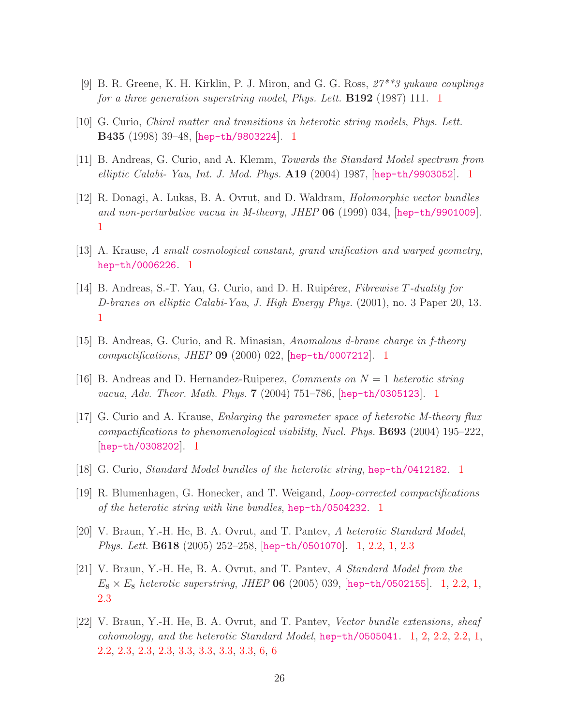- <span id="page-27-0"></span>[9] B. R. Greene, K. H. Kirklin, P. J. Miron, and G. G. Ross, *27\*\*3 yukawa couplings for a three generation superstring model*, *Phys. Lett.* B192 (1987) 111. [1](#page-2-0)
- <span id="page-27-1"></span>[10] G. Curio, *Chiral matter and transitions in heterotic string models*, *Phys. Lett.* B435 (1998) 39–48, [[hep-th/9803224](http://xxx.lanl.gov/abs/hep-th/9803224)]. [1](#page-2-0)
- <span id="page-27-2"></span>[11] B. Andreas, G. Curio, and A. Klemm, *Towards the Standard Model spectrum from elliptic Calabi- Yau*, *Int. J. Mod. Phys.* A19 (2004) 1987, [[hep-th/9903052](http://xxx.lanl.gov/abs/hep-th/9903052)]. [1](#page-2-0)
- <span id="page-27-3"></span>[12] R. Donagi, A. Lukas, B. A. Ovrut, and D. Waldram, *Holomorphic vector bundles and non-perturbative vacua in M-theory*, *JHEP* 06 (1999) 034, [[hep-th/9901009](http://xxx.lanl.gov/abs/hep-th/9901009)]. [1](#page-2-0)
- <span id="page-27-4"></span>[13] A. Krause, *A small cosmological constant, grand unification and warped geometry*, [hep-th/0006226](http://xxx.lanl.gov/abs/hep-th/0006226). [1](#page-2-0)
- <span id="page-27-5"></span>[14] B. Andreas, S.-T. Yau, G. Curio, and D. H. Ruip´erez, *Fibrewise* T*-duality for D-branes on elliptic Calabi-Yau*, *J. High Energy Phys.* (2001), no. 3 Paper 20, 13. [1](#page-2-0)
- <span id="page-27-6"></span>[15] B. Andreas, G. Curio, and R. Minasian, *Anomalous d-brane charge in f-theory compactifications*, *JHEP* 09 (2000) 022, [[hep-th/0007212](http://xxx.lanl.gov/abs/hep-th/0007212)]. [1](#page-2-0)
- <span id="page-27-7"></span>[16] B. Andreas and D. Hernandez-Ruiperez, *Comments on* N = 1 *heterotic string vacua*, *Adv. Theor. Math. Phys.* 7 (2004) 751–786, [[hep-th/0305123](http://xxx.lanl.gov/abs/hep-th/0305123)]. [1](#page-2-0)
- <span id="page-27-8"></span>[17] G. Curio and A. Krause, *Enlarging the parameter space of heterotic M-theory flux compactifications to phenomenological viability*, *Nucl. Phys.* B693 (2004) 195–222, [[hep-th/0308202](http://xxx.lanl.gov/abs/hep-th/0308202)]. [1](#page-2-0)
- <span id="page-27-9"></span>[18] G. Curio, *Standard Model bundles of the heterotic string*, [hep-th/0412182](http://xxx.lanl.gov/abs/hep-th/0412182). [1](#page-2-0)
- <span id="page-27-10"></span>[19] R. Blumenhagen, G. Honecker, and T. Weigand, *Loop-corrected compactifications of the heterotic string with line bundles*, [hep-th/0504232](http://xxx.lanl.gov/abs/hep-th/0504232). [1](#page-2-0)
- <span id="page-27-11"></span>[20] V. Braun, Y.-H. He, B. A. Ovrut, and T. Pantev, *A heterotic Standard Model*, *Phys. Lett.* B618 (2005) 252–258, [[hep-th/0501070](http://xxx.lanl.gov/abs/hep-th/0501070)]. [1,](#page-2-0) [2.2,](#page-6-0) [1,](#page-5-0) [2.3](#page-8-2)
- <span id="page-27-12"></span>[21] V. Braun, Y.-H. He, B. A. Ovrut, and T. Pantev, *A Standard Model from the*  $E_8 \times E_8$  *heterotic superstring, JHEP* 06 (2005) 039, [[hep-th/0502155](http://xxx.lanl.gov/abs/hep-th/0502155)]. [1,](#page-5-0) [2.2,](#page-6-0) 1, [2.3](#page-8-2)
- <span id="page-27-13"></span>[22] V. Braun, Y.-H. He, B. A. Ovrut, and T. Pantev, *Vector bundle extensions, sheaf cohomology, and the heterotic Standard Model*, [hep-th/0505041](http://xxx.lanl.gov/abs/hep-th/0505041). [1,](#page-2-0) [2,](#page-4-0) [2.2,](#page-6-0) [2.2,](#page-6-3) [1,](#page-5-0) [2.2,](#page-6-4) [2.3,](#page-7-0) [2.3,](#page-7-1) [2.3,](#page-8-2) [3.3,](#page-12-0) [3.3,](#page-13-4) [3.3,](#page-13-5) [3.3,](#page-14-3) [6,](#page-21-1) [6](#page-22-0)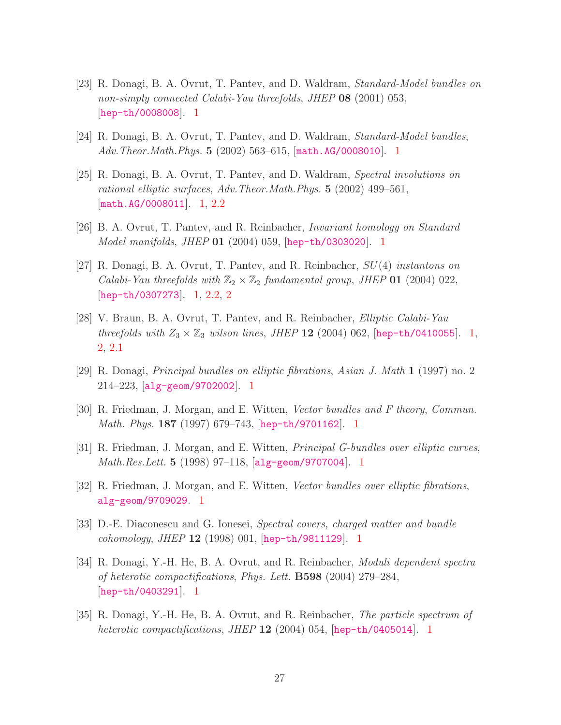- <span id="page-28-0"></span>[23] R. Donagi, B. A. Ovrut, T. Pantev, and D. Waldram, *Standard-Model bundles on non-simply connected Calabi-Yau threefolds*, *JHEP* 08 (2001) 053, [[hep-th/0008008](http://xxx.lanl.gov/abs/hep-th/0008008)]. [1](#page-2-0)
- <span id="page-28-1"></span>[24] R. Donagi, B. A. Ovrut, T. Pantev, and D. Waldram, *Standard-Model bundles*, *Adv.Theor.Math.Phys.* 5 (2002) 563–615, [[math.AG/0008010](http://xxx.lanl.gov/abs/math.AG/0008010)]. [1](#page-2-0)
- <span id="page-28-2"></span>[25] R. Donagi, B. A. Ovrut, T. Pantev, and D. Waldram, *Spectral involutions on rational elliptic surfaces*, *Adv.Theor.Math.Phys.* 5 (2002) 499–561, [[math.AG/0008011](http://xxx.lanl.gov/abs/math.AG/0008011)]. [1,](#page-2-0) [2.2](#page-5-0)
- <span id="page-28-3"></span>[26] B. A. Ovrut, T. Pantev, and R. Reinbacher, *Invariant homology on Standard Model manifolds*, *JHEP* 01 (2004) 059, [[hep-th/0303020](http://xxx.lanl.gov/abs/hep-th/0303020)]. [1](#page-2-0)
- <span id="page-28-4"></span>[27] R. Donagi, B. A. Ovrut, T. Pantev, and R. Reinbacher, SU(4) *instantons on Calabi-Yau threefolds with*  $\mathbb{Z}_2 \times \mathbb{Z}_2$  *fundamental group, JHEP* **01** (2004) 022, [[hep-th/0307273](http://xxx.lanl.gov/abs/hep-th/0307273)]. [1,](#page-2-0) [2.2,](#page-5-0) [2](#page-6-4)
- <span id="page-28-5"></span>[28] V. Braun, B. A. Ovrut, T. Pantev, and R. Reinbacher, *Elliptic Calabi-Yau threefolds with*  $Z_3 \times Z_3$  *wilson lines, JHEP* 12 (2004) 062, [[hep-th/0410055](http://xxx.lanl.gov/abs/hep-th/0410055)]. [1,](#page-2-0) [2,](#page-4-0) [2.1](#page-4-1)
- <span id="page-28-6"></span>[29] R. Donagi, *Principal bundles on elliptic fibrations*, *Asian J. Math* 1 (1997) no. 2 214–223, [[alg-geom/9702002](http://xxx.lanl.gov/abs/alg-geom/9702002)]. [1](#page-2-0)
- <span id="page-28-7"></span>[30] R. Friedman, J. Morgan, and E. Witten, *Vector bundles and F theory*, *Commun. Math. Phys.* 187 (1997) 679–743, [[hep-th/9701162](http://xxx.lanl.gov/abs/hep-th/9701162)]. [1](#page-2-0)
- <span id="page-28-8"></span>[31] R. Friedman, J. Morgan, and E. Witten, *Principal G-bundles over elliptic curves*, *Math.Res.Lett.* 5 (1998) 97–118, [[alg-geom/9707004](http://xxx.lanl.gov/abs/alg-geom/9707004)]. [1](#page-2-0)
- <span id="page-28-9"></span>[32] R. Friedman, J. Morgan, and E. Witten, *Vector bundles over elliptic fibrations*, [alg-geom/9709029](http://xxx.lanl.gov/abs/alg-geom/9709029). [1](#page-2-0)
- <span id="page-28-10"></span>[33] D.-E. Diaconescu and G. Ionesei, *Spectral covers, charged matter and bundle cohomology*, *JHEP* 12 (1998) 001, [[hep-th/9811129](http://xxx.lanl.gov/abs/hep-th/9811129)]. [1](#page-2-0)
- <span id="page-28-11"></span>[34] R. Donagi, Y.-H. He, B. A. Ovrut, and R. Reinbacher, *Moduli dependent spectra of heterotic compactifications*, *Phys. Lett.* B598 (2004) 279–284, [[hep-th/0403291](http://xxx.lanl.gov/abs/hep-th/0403291)]. [1](#page-2-0)
- <span id="page-28-12"></span>[35] R. Donagi, Y.-H. He, B. A. Ovrut, and R. Reinbacher, *The particle spectrum of heterotic compactifications*, *JHEP* 12 (2004) 054, [[hep-th/0405014](http://xxx.lanl.gov/abs/hep-th/0405014)]. [1](#page-2-0)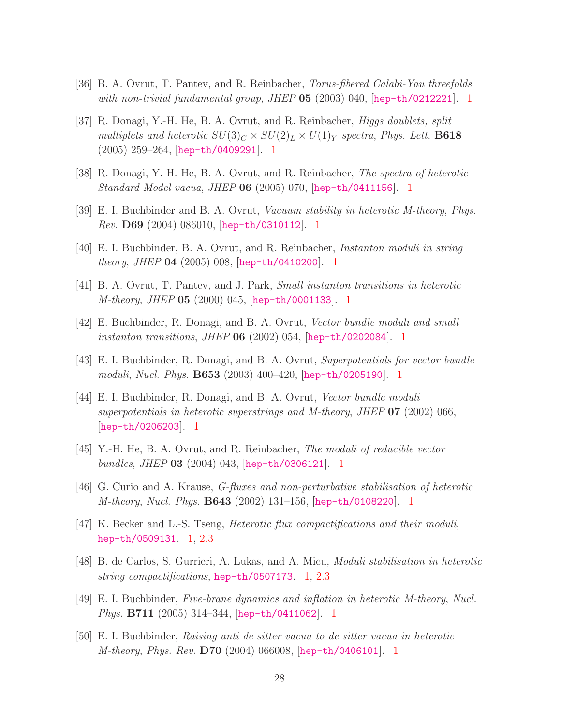- <span id="page-29-0"></span>[36] B. A. Ovrut, T. Pantev, and R. Reinbacher, *Torus-fibered Calabi-Yau threefolds with non-trivial fundamental group*, *JHEP* 05 (2003) 040, [[hep-th/0212221](http://xxx.lanl.gov/abs/hep-th/0212221)]. [1](#page-2-0)
- <span id="page-29-1"></span>[37] R. Donagi, Y.-H. He, B. A. Ovrut, and R. Reinbacher, *Higgs doublets, split multiplets and heterotic*  $SU(3)_C \times SU(2)_L \times U(1)_Y$  *spectra, Phys. Lett.* **B618** (2005) 259–264, [[hep-th/0409291](http://xxx.lanl.gov/abs/hep-th/0409291)]. [1](#page-2-0)
- <span id="page-29-2"></span>[38] R. Donagi, Y.-H. He, B. A. Ovrut, and R. Reinbacher, *The spectra of heterotic Standard Model vacua*, *JHEP* 06 (2005) 070, [[hep-th/0411156](http://xxx.lanl.gov/abs/hep-th/0411156)]. [1](#page-2-0)
- <span id="page-29-3"></span>[39] E. I. Buchbinder and B. A. Ovrut, *Vacuum stability in heterotic M-theory*, *Phys. Rev.* D69 (2004) 086010, [[hep-th/0310112](http://xxx.lanl.gov/abs/hep-th/0310112)]. [1](#page-2-0)
- <span id="page-29-4"></span>[40] E. I. Buchbinder, B. A. Ovrut, and R. Reinbacher, *Instanton moduli in string theory*, *JHEP* 04 (2005) 008, [[hep-th/0410200](http://xxx.lanl.gov/abs/hep-th/0410200)]. [1](#page-2-0)
- <span id="page-29-5"></span>[41] B. A. Ovrut, T. Pantev, and J. Park, *Small instanton transitions in heterotic M-theory*, *JHEP* 05 (2000) 045, [[hep-th/0001133](http://xxx.lanl.gov/abs/hep-th/0001133)]. [1](#page-2-0)
- <span id="page-29-6"></span>[42] E. Buchbinder, R. Donagi, and B. A. Ovrut, *Vector bundle moduli and small instanton transitions*, *JHEP* 06 (2002) 054, [[hep-th/0202084](http://xxx.lanl.gov/abs/hep-th/0202084)]. [1](#page-2-0)
- <span id="page-29-7"></span>[43] E. I. Buchbinder, R. Donagi, and B. A. Ovrut, *Superpotentials for vector bundle moduli*, *Nucl. Phys.* B653 (2003) 400–420, [[hep-th/0205190](http://xxx.lanl.gov/abs/hep-th/0205190)]. [1](#page-2-0)
- <span id="page-29-8"></span>[44] E. I. Buchbinder, R. Donagi, and B. A. Ovrut, *Vector bundle moduli superpotentials in heterotic superstrings and M-theory*, *JHEP* 07 (2002) 066, [hep-th/0206203](http://xxx.lanl.gov/abs/hep-th/0206203). [1](#page-2-0)
- <span id="page-29-9"></span>[45] Y.-H. He, B. A. Ovrut, and R. Reinbacher, *The moduli of reducible vector bundles*, *JHEP* 03 (2004) 043, [[hep-th/0306121](http://xxx.lanl.gov/abs/hep-th/0306121)]. [1](#page-2-0)
- <span id="page-29-10"></span>[46] G. Curio and A. Krause, *G-fluxes and non-perturbative stabilisation of heterotic M-theory*, *Nucl. Phys.* B643 (2002) 131–156, [[hep-th/0108220](http://xxx.lanl.gov/abs/hep-th/0108220)]. [1](#page-2-0)
- <span id="page-29-11"></span>[47] K. Becker and L.-S. Tseng, *Heterotic flux compactifications and their moduli*, [hep-th/0509131](http://xxx.lanl.gov/abs/hep-th/0509131). [1,](#page-2-0) [2.3](#page-8-2)
- <span id="page-29-12"></span>[48] B. de Carlos, S. Gurrieri, A. Lukas, and A. Micu, *Moduli stabilisation in heterotic string compactifications*, [hep-th/0507173](http://xxx.lanl.gov/abs/hep-th/0507173). [1,](#page-2-0) [2.3](#page-8-2)
- <span id="page-29-13"></span>[49] E. I. Buchbinder, *Five-brane dynamics and inflation in heterotic M-theory*, *Nucl. Phys.* B711 (2005) 314–344, [[hep-th/0411062](http://xxx.lanl.gov/abs/hep-th/0411062)]. [1](#page-2-0)
- <span id="page-29-14"></span>[50] E. I. Buchbinder, *Raising anti de sitter vacua to de sitter vacua in heterotic M-theory*, *Phys. Rev.* D70 (2004) 066008, [[hep-th/0406101](http://xxx.lanl.gov/abs/hep-th/0406101)]. [1](#page-2-0)